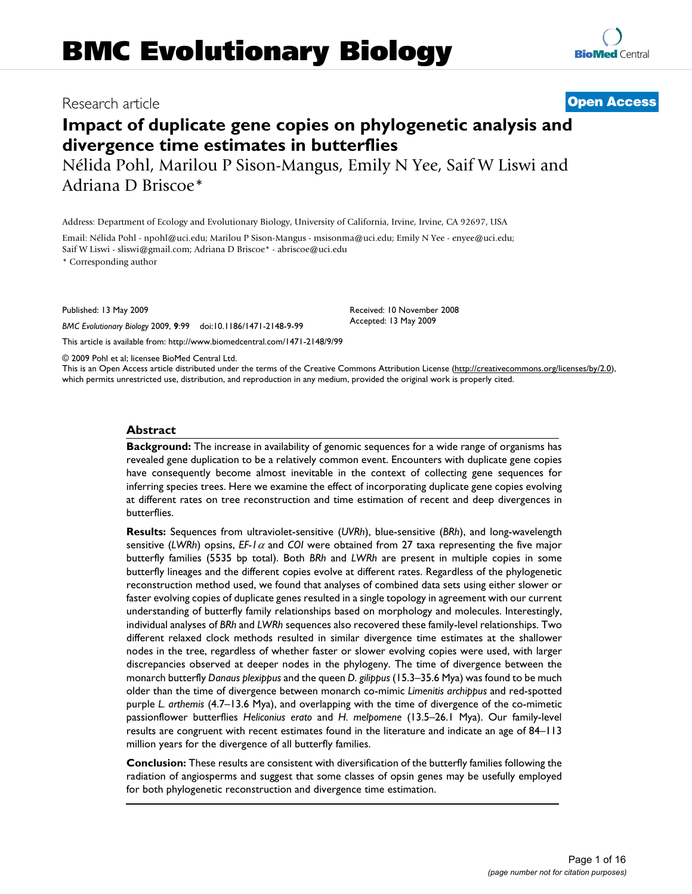# Research article **[Open Access](http://www.biomedcentral.com/info/about/charter/)**

# **Impact of duplicate gene copies on phylogenetic analysis and divergence time estimates in butterflies**

Nélida Pohl, Marilou P Sison-Mangus, Emily N Yee, Saif W Liswi and Adriana D Briscoe\*

Address: Department of Ecology and Evolutionary Biology, University of California, Irvine, Irvine, CA 92697, USA

Email: Nélida Pohl - npohl@uci.edu; Marilou P Sison-Mangus - msisonma@uci.edu; Emily N Yee - enyee@uci.edu; Saif W Liswi - sliswi@gmail.com; Adriana D Briscoe\* - abriscoe@uci.edu

\* Corresponding author

Published: 13 May 2009

*BMC Evolutionary Biology* 2009, **9**:99 doi:10.1186/1471-2148-9-99

[This article is available from: http://www.biomedcentral.com/1471-2148/9/99](http://www.biomedcentral.com/1471-2148/9/99)

© 2009 Pohl et al; licensee BioMed Central Ltd.

This is an Open Access article distributed under the terms of the Creative Commons Attribution License [\(http://creativecommons.org/licenses/by/2.0\)](http://creativecommons.org/licenses/by/2.0), which permits unrestricted use, distribution, and reproduction in any medium, provided the original work is properly cited.

#### **Abstract**

**Background:** The increase in availability of genomic sequences for a wide range of organisms has revealed gene duplication to be a relatively common event. Encounters with duplicate gene copies have consequently become almost inevitable in the context of collecting gene sequences for inferring species trees. Here we examine the effect of incorporating duplicate gene copies evolving at different rates on tree reconstruction and time estimation of recent and deep divergences in butterflies.

**Results:** Sequences from ultraviolet-sensitive (*UVRh*), blue-sensitive (*BRh*), and long-wavelength sensitive (LWRh) opsins, EF-1 $\alpha$  and *COI* were obtained from 27 taxa representing the five major butterfly families (5535 bp total). Both *BRh* and *LWRh* are present in multiple copies in some butterfly lineages and the different copies evolve at different rates. Regardless of the phylogenetic reconstruction method used, we found that analyses of combined data sets using either slower or faster evolving copies of duplicate genes resulted in a single topology in agreement with our current understanding of butterfly family relationships based on morphology and molecules. Interestingly, individual analyses of *BRh* and *LWRh* sequences also recovered these family-level relationships. Two different relaxed clock methods resulted in similar divergence time estimates at the shallower nodes in the tree, regardless of whether faster or slower evolving copies were used, with larger discrepancies observed at deeper nodes in the phylogeny. The time of divergence between the monarch butterfly *Danaus plexippus* and the queen *D. gilippus* (15.3–35.6 Mya) was found to be much older than the time of divergence between monarch co-mimic *Limenitis archippus* and red-spotted purple *L. arthemis* (4.7–13.6 Mya), and overlapping with the time of divergence of the co-mimetic passionflower butterflies *Heliconius erato* and *H. melpomene* (13.5–26.1 Mya). Our family-level results are congruent with recent estimates found in the literature and indicate an age of 84–113 million years for the divergence of all butterfly families.

**Conclusion:** These results are consistent with diversification of the butterfly families following the radiation of angiosperms and suggest that some classes of opsin genes may be usefully employed for both phylogenetic reconstruction and divergence time estimation.



Received: 10 November 2008 Accepted: 13 May 2009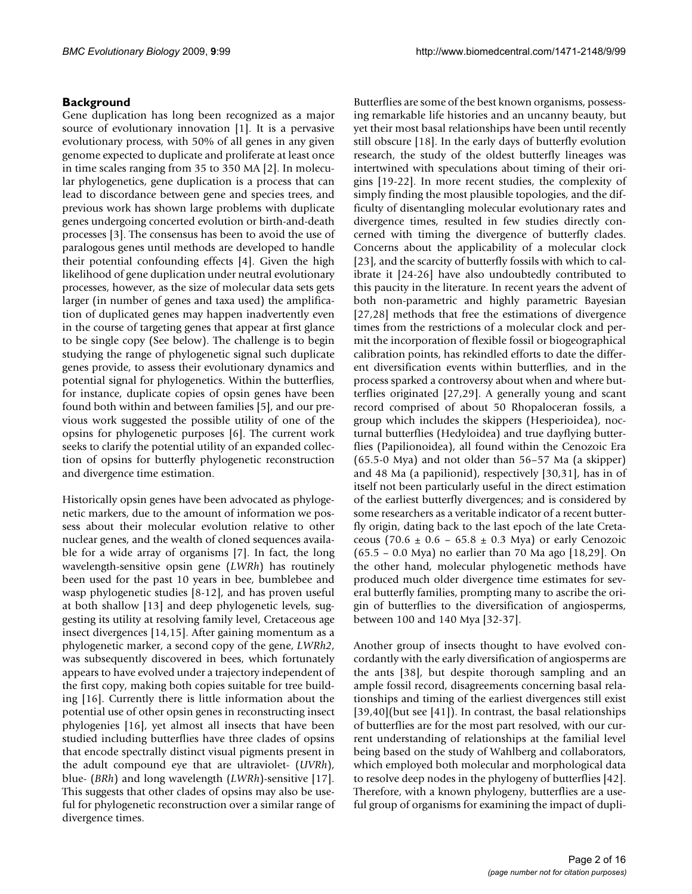## **Background**

Gene duplication has long been recognized as a major source of evolutionary innovation [1]. It is a pervasive evolutionary process, with 50% of all genes in any given genome expected to duplicate and proliferate at least once in time scales ranging from 35 to 350 MA [2]. In molecular phylogenetics, gene duplication is a process that can lead to discordance between gene and species trees, and previous work has shown large problems with duplicate genes undergoing concerted evolution or birth-and-death processes [3]. The consensus has been to avoid the use of paralogous genes until methods are developed to handle their potential confounding effects [4]. Given the high likelihood of gene duplication under neutral evolutionary processes, however, as the size of molecular data sets gets larger (in number of genes and taxa used) the amplification of duplicated genes may happen inadvertently even in the course of targeting genes that appear at first glance to be single copy (See below). The challenge is to begin studying the range of phylogenetic signal such duplicate genes provide, to assess their evolutionary dynamics and potential signal for phylogenetics. Within the butterflies, for instance, duplicate copies of opsin genes have been found both within and between families [5], and our previous work suggested the possible utility of one of the opsins for phylogenetic purposes [6]. The current work seeks to clarify the potential utility of an expanded collection of opsins for butterfly phylogenetic reconstruction and divergence time estimation.

Historically opsin genes have been advocated as phylogenetic markers, due to the amount of information we possess about their molecular evolution relative to other nuclear genes, and the wealth of cloned sequences available for a wide array of organisms [7]. In fact, the long wavelength-sensitive opsin gene (*LWRh*) has routinely been used for the past 10 years in bee, bumblebee and wasp phylogenetic studies [8-12], and has proven useful at both shallow [13] and deep phylogenetic levels, suggesting its utility at resolving family level, Cretaceous age insect divergences [14,15]. After gaining momentum as a phylogenetic marker, a second copy of the gene, *LWRh2*, was subsequently discovered in bees, which fortunately appears to have evolved under a trajectory independent of the first copy, making both copies suitable for tree building [16]. Currently there is little information about the potential use of other opsin genes in reconstructing insect phylogenies [16], yet almost all insects that have been studied including butterflies have three clades of opsins that encode spectrally distinct visual pigments present in the adult compound eye that are ultraviolet- (*UVRh*), blue- (*BRh*) and long wavelength (*LWRh*)-sensitive [17]. This suggests that other clades of opsins may also be useful for phylogenetic reconstruction over a similar range of divergence times.

Butterflies are some of the best known organisms, possessing remarkable life histories and an uncanny beauty, but yet their most basal relationships have been until recently still obscure [18]. In the early days of butterfly evolution research, the study of the oldest butterfly lineages was intertwined with speculations about timing of their origins [19-22]. In more recent studies, the complexity of simply finding the most plausible topologies, and the difficulty of disentangling molecular evolutionary rates and divergence times, resulted in few studies directly concerned with timing the divergence of butterfly clades. Concerns about the applicability of a molecular clock [23], and the scarcity of butterfly fossils with which to calibrate it [24-26] have also undoubtedly contributed to this paucity in the literature. In recent years the advent of both non-parametric and highly parametric Bayesian [27,28] methods that free the estimations of divergence times from the restrictions of a molecular clock and permit the incorporation of flexible fossil or biogeographical calibration points, has rekindled efforts to date the different diversification events within butterflies, and in the process sparked a controversy about when and where butterflies originated [27,29]. A generally young and scant record comprised of about 50 Rhopaloceran fossils, a group which includes the skippers (Hesperioidea), nocturnal butterflies (Hedyloidea) and true dayflying butterflies (Papilionoidea), all found within the Cenozoic Era (65.5-0 Mya) and not older than 56–57 Ma (a skipper) and 48 Ma (a papilionid), respectively [30,31], has in of itself not been particularly useful in the direct estimation of the earliest butterfly divergences; and is considered by some researchers as a veritable indicator of a recent butterfly origin, dating back to the last epoch of the late Cretaceous (70.6  $\pm$  0.6 – 65.8  $\pm$  0.3 Mya) or early Cenozoic (65.5 – 0.0 Mya) no earlier than 70 Ma ago [18,29]. On the other hand, molecular phylogenetic methods have produced much older divergence time estimates for several butterfly families, prompting many to ascribe the origin of butterflies to the diversification of angiosperms, between 100 and 140 Mya [32-37].

Another group of insects thought to have evolved concordantly with the early diversification of angiosperms are the ants [38], but despite thorough sampling and an ample fossil record, disagreements concerning basal relationships and timing of the earliest divergences still exist [39,40](but see [41]). In contrast, the basal relationships of butterflies are for the most part resolved, with our current understanding of relationships at the familial level being based on the study of Wahlberg and collaborators, which employed both molecular and morphological data to resolve deep nodes in the phylogeny of butterflies [42]. Therefore, with a known phylogeny, butterflies are a useful group of organisms for examining the impact of dupli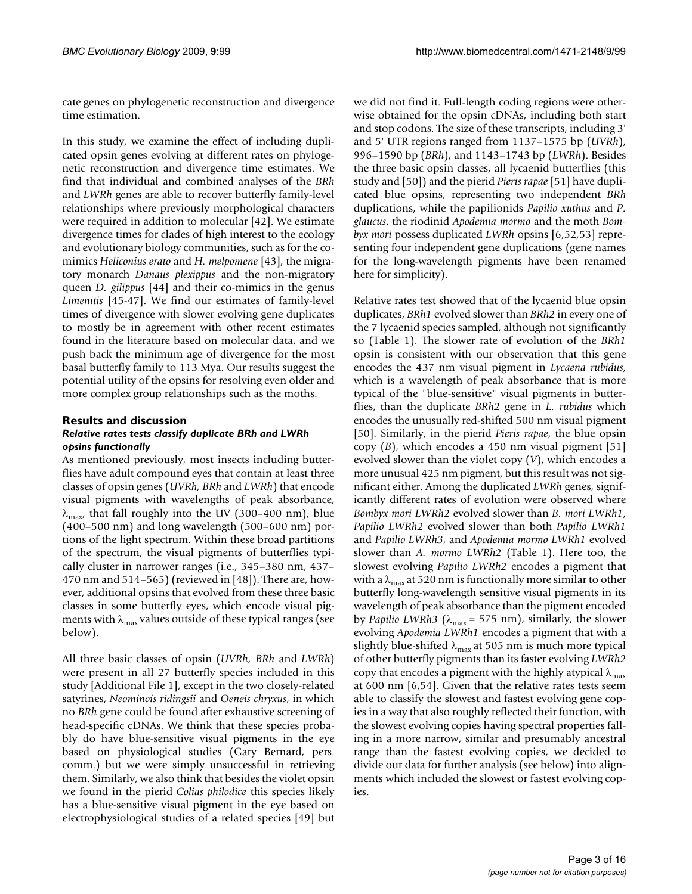cate genes on phylogenetic reconstruction and divergence time estimation.

In this study, we examine the effect of including duplicated opsin genes evolving at different rates on phylogenetic reconstruction and divergence time estimates. We find that individual and combined analyses of the *BRh* and *LWRh* genes are able to recover butterfly family-level relationships where previously morphological characters were required in addition to molecular [42]. We estimate divergence times for clades of high interest to the ecology and evolutionary biology communities, such as for the comimics *Heliconius erato* and *H. melpomene* [43], the migratory monarch *Danaus plexippus* and the non-migratory queen *D. gilippus* [44] and their co-mimics in the genus *Limenitis* [45-47]. We find our estimates of family-level times of divergence with slower evolving gene duplicates to mostly be in agreement with other recent estimates found in the literature based on molecular data, and we push back the minimum age of divergence for the most basal butterfly family to 113 Mya. Our results suggest the potential utility of the opsins for resolving even older and more complex group relationships such as the moths.

#### **Results and discussion** *Relative rates tests classify duplicate BRh and LWRh opsins functionally*

As mentioned previously, most insects including butterflies have adult compound eyes that contain at least three classes of opsin genes (*UVRh, BRh* and *LWRh*) that encode visual pigments with wavelengths of peak absorbance,  $\lambda_{\text{max}}$ , that fall roughly into the UV (300–400 nm), blue (400–500 nm) and long wavelength (500–600 nm) portions of the light spectrum. Within these broad partitions of the spectrum, the visual pigments of butterflies typically cluster in narrower ranges (i.e., 345–380 nm, 437– 470 nm and 514–565) (reviewed in [48]). There are, however, additional opsins that evolved from these three basic classes in some butterfly eyes, which encode visual pigments with  $\lambda_{\text{max}}$  values outside of these typical ranges (see below).

All three basic classes of opsin (*UVRh, BRh* and *LWRh*) were present in all 27 butterfly species included in this study [Additional File 1], except in the two closely-related satyrines, *Neominois ridingsii* and *Oeneis chryxus*, in which no *BRh* gene could be found after exhaustive screening of head-specific cDNAs. We think that these species probably do have blue-sensitive visual pigments in the eye based on physiological studies (Gary Bernard, pers. comm.) but we were simply unsuccessful in retrieving them. Similarly, we also think that besides the violet opsin we found in the pierid *Colias philodice* this species likely has a blue-sensitive visual pigment in the eye based on electrophysiological studies of a related species [49] but

we did not find it. Full-length coding regions were otherwise obtained for the opsin cDNAs, including both start and stop codons. The size of these transcripts, including 3' and 5' UTR regions ranged from 1137–1575 bp (*UVRh*), 996–1590 bp (*BRh*), and 1143–1743 bp (*LWRh*). Besides the three basic opsin classes, all lycaenid butterflies (this study and [50]) and the pierid *Pieris rapae* [51] have duplicated blue opsins, representing two independent *BRh* duplications, while the papilionids *Papilio xuthus* and *P. glaucus*, the riodinid *Apodemia mormo* and the moth *Bombyx mori* possess duplicated *LWRh* opsins [6,52,[53\]](#page-14-0) representing four independent gene duplications (gene names for the long-wavelength pigments have been renamed here for simplicity).

Relative rates test showed that of the lycaenid blue opsin duplicates, *BRh1* evolved slower than *BRh2* in every one of the 7 lycaenid species sampled, although not significantly so (Table [1\)](#page-3-0). The slower rate of evolution of the *BRh1* opsin is consistent with our observation that this gene encodes the 437 nm visual pigment in *Lycaena rubidus*, which is a wavelength of peak absorbance that is more typical of the "blue-sensitive" visual pigments in butterflies, than the duplicate *BRh2* gene in *L. rubidus* which encodes the unusually red-shifted 500 nm visual pigment [50]. Similarly, in the pierid *Pieris rapae*, the blue opsin copy (*B*), which encodes a 450 nm visual pigment [51] evolved slower than the violet copy (*V*), which encodes a more unusual 425 nm pigment, but this result was not significant either. Among the duplicated *LWRh* genes, significantly different rates of evolution were observed where *Bombyx mori LWRh2* evolved slower than *B. mori LWRh1*, *Papilio LWRh2* evolved slower than both *Papilio LWRh1* and *Papilio LWRh3*, and *Apodemia mormo LWRh1* evolved slower than *A. mormo LWRh2* (Table [1\)](#page-3-0). Here too, the slowest evolving *Papilio LWRh2* encodes a pigment that with a  $\lambda_{\text{max}}$  at 520 nm is functionally more similar to other butterfly long-wavelength sensitive visual pigments in its wavelength of peak absorbance than the pigment encoded by *Papilio LWRh3* ( $\lambda_{\text{max}}$  = 575 nm), similarly, the slower evolving *Apodemia LWRh1* encodes a pigment that with a slightly blue-shifted  $\lambda_{\text{max}}$  at 505 nm is much more typical of other butterfly pigments than its faster evolving *LWRh2* copy that encodes a pigment with the highly atypical  $\lambda_{\text{max}}$ at 600 nm [6,54]. Given that the relative rates tests seem able to classify the slowest and fastest evolving gene copies in a way that also roughly reflected their function, with the slowest evolving copies having spectral properties falling in a more narrow, similar and presumably ancestral range than the fastest evolving copies, we decided to divide our data for further analysis (see below) into alignments which included the slowest or fastest evolving copies.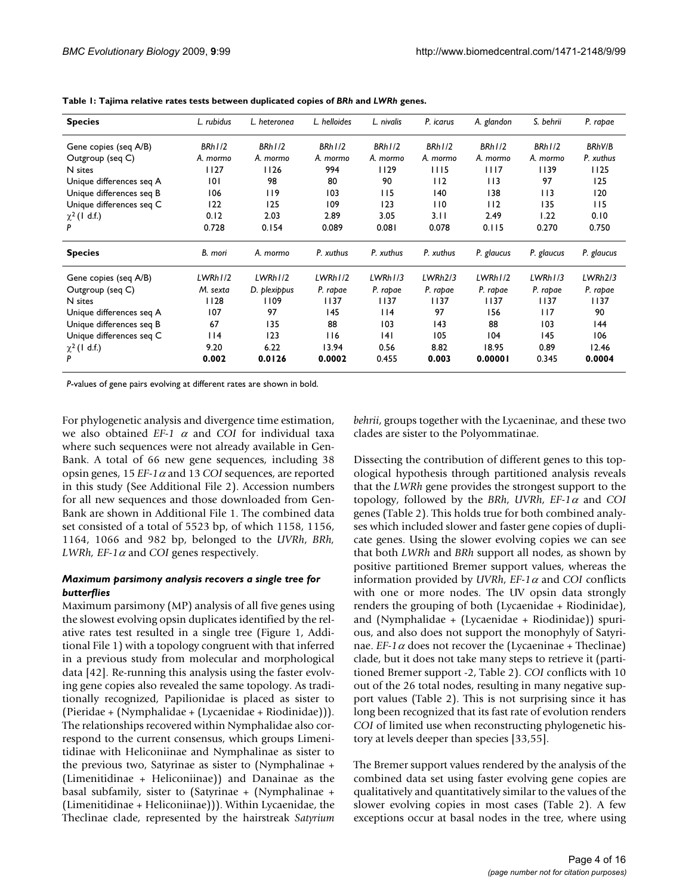| <b>Species</b>           | L. rubidus | L. heteronea | L. helloides | L. nivalis | P. icarus | A. glandon | S. behrii  | P. rapae   |
|--------------------------|------------|--------------|--------------|------------|-----------|------------|------------|------------|
| Gene copies (seq A/B)    | BRh1/2     | BRh1/2       | BRh1/2       | BRh1/2     | BRh1/2    | BRh1/2     | BRh1/2     | BRhV/B     |
| Outgroup (seq C)         | A. mormo   | A. mormo     | A. mormo     | A. mormo   | A. mormo  | A. mormo   | A. mormo   | P. xuthus  |
| N sites                  | 1127       | 1126         | 994          | 1129       | 1115      | 1117       | 1139       | 1125       |
| Unique differences seg A | 101        | 98           | 80           | 90         | 112       | 113        | 97         | 125        |
| Unique differences seq B | 106        | 119          | 103          | 115        | 140       | 138        | 113        | 120        |
| Unique differences seg C | 122        | 125          | 109          | 123        | 110       | 112        | 135        | 115        |
| $\chi^2$ (1 d.f.)        | 0.12       | 2.03         | 2.89         | 3.05       | 3.11      | 2.49       | 1.22       | 0.10       |
|                          | 0.728      | 0.154        | 0.089        | 0.081      | 0.078     | 0.115      | 0.270      | 0.750      |
| <b>Species</b>           | B. mori    | A. mormo     | P. xuthus    | P. xuthus  | P. xuthus | P. glaucus | P. glaucus | P. glaucus |
| Gene copies (seq A/B)    | LWRh1/2    | LWRh1/2      | LWRh1/2      | LWRh1/3    | LWRh2/3   | LWRh1/2    | LWRh1/3    | LWRh2/3    |
| Outgroup (seq C)         | M. sexta   | D. plexippus | P. rapae     | P. rapae   | P. rapae  | P. rapae   | P. rapae   | P. rapae   |
| N sites                  | 1128       | 1109         | 1137         | 1137       | 1137      | 1137       | 1137       | 1137       |
| Unique differences seg A | 107        | 97           | 145          | 114        | 97        | 156        | 117        | 90         |
| Unique differences seq B | 67         | 135          | 88           | 103        | 143       | 88         | 103        | 44         |
| Unique differences seq C | $ $  4     | 123          | 116          | 4          | 105       | 104        | 145        | 106        |
| $\chi^2$ (1 d.f.)        | 9.20       | 6.22         | 13.94        | 0.56       | 8.82      | 18.95      | 0.89       | 12.46      |
|                          | 0.002      | 0.0126       | 0.0002       | 0.455      | 0.003     | 0.00001    | 0.345      | 0.0004     |

<span id="page-3-0"></span>**Table 1: Tajima relative rates tests between duplicated copies of** *BRh* **and** *LWRh* **genes.**

*P*-values of gene pairs evolving at different rates are shown in bold.

For phylogenetic analysis and divergence time estimation, we also obtained  $EF-1$   $\alpha$  and *COI* for individual taxa where such sequences were not already available in Gen-Bank. A total of 66 new gene sequences, including 38 opsin genes,  $15 EF-1 \alpha$  and  $13 COI$  sequences, are reported in this study (See Additional File 2). Accession numbers for all new sequences and those downloaded from Gen-Bank are shown in Additional File 1. The combined data set consisted of a total of 5523 bp, of which 1158, 1156, 1164, 1066 and 982 bp, belonged to the *UVRh*, *BRh, LWRh, EF-1* $\alpha$  and *COI* genes respectively.

# *Maximum parsimony analysis recovers a single tree for butterflies*

Maximum parsimony (MP) analysis of all five genes using the slowest evolving opsin duplicates identified by the relative rates test resulted in a single tree (Figure 1, Additional File 1) with a topology congruent with that inferred in a previous study from molecular and morphological data [42]. Re-running this analysis using the faster evolving gene copies also revealed the same topology. As traditionally recognized, Papilionidae is placed as sister to (Pieridae + (Nymphalidae + (Lycaenidae + Riodinidae))). The relationships recovered within Nymphalidae also correspond to the current consensus, which groups Limenitidinae with Heliconiinae and Nymphalinae as sister to the previous two, Satyrinae as sister to (Nymphalinae + (Limenitidinae + Heliconiinae)) and Danainae as the basal subfamily, sister to (Satyrinae + (Nymphalinae + (Limenitidinae + Heliconiinae))). Within Lycaenidae, the Theclinae clade, represented by the hairstreak *Satyrium*

*behrii*, groups together with the Lycaeninae, and these two clades are sister to the Polyommatinae.

Dissecting the contribution of different genes to this topological hypothesis through partitioned analysis reveals that the *LWRh* gene provides the strongest support to the topology, followed by the *BRh*, *UVRh*,  $EF-1\alpha$  and *COI* genes (Table [2](#page-5-0)). This holds true for both combined analyses which included slower and faster gene copies of duplicate genes. Using the slower evolving copies we can see that both *LWRh* and *BRh* support all nodes, as shown by positive partitioned Bremer support values, whereas the information provided by *UVRh*,  $EF-1\alpha$  and *COI* conflicts with one or more nodes. The UV opsin data strongly renders the grouping of both (Lycaenidae + Riodinidae), and (Nymphalidae + (Lycaenidae + Riodinidae)) spurious, and also does not support the monophyly of Satyrinae. *EF-1* $\alpha$  does not recover the (Lycaeninae + Theclinae) clade, but it does not take many steps to retrieve it (partitioned Bremer support -2, Table [2](#page-5-0)). *COI* conflicts with 10 out of the 26 total nodes, resulting in many negative support values (Table [2](#page-5-0)). This is not surprising since it has long been recognized that its fast rate of evolution renders *COI* of limited use when reconstructing phylogenetic history at levels deeper than species [33,55].

The Bremer support values rendered by the analysis of the combined data set using faster evolving gene copies are qualitatively and quantitatively similar to the values of the slower evolving copies in most cases (Table [2](#page-5-0)). A few exceptions occur at basal nodes in the tree, where using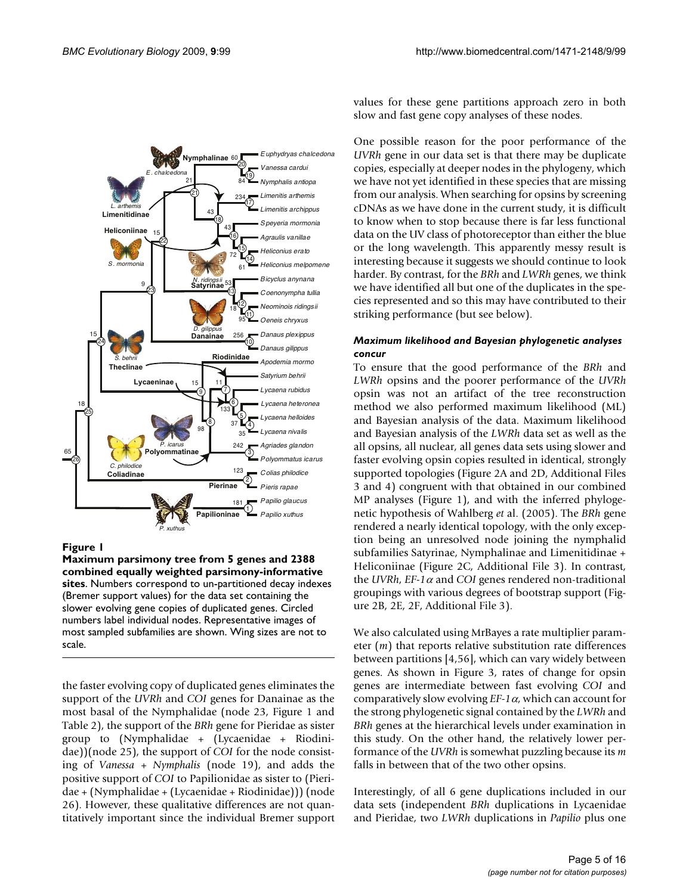

#### **Figure 1**

**Maximum parsimony tree from 5 genes and 2388 combined equally weighted parsimony-informative sites**. Numbers correspond to un-partitioned decay indexes (Bremer support values) for the data set containing the slower evolving gene copies of duplicated genes. Circled numbers label individual nodes. Representative images of most sampled subfamilies are shown. Wing sizes are not to scale.

the faster evolving copy of duplicated genes eliminates the support of the *UVRh* and *COI* genes for Danainae as the most basal of the Nymphalidae (node 23, Figure 1 and Table [2\)](#page-5-0), the support of the *BRh* gene for Pieridae as sister group to (Nymphalidae + (Lycaenidae + Riodinidae))(node 25), the support of *COI* for the node consisting of *Vanessa* + *Nymphalis* (node 19), and adds the positive support of *COI* to Papilionidae as sister to (Pieridae + (Nymphalidae + (Lycaenidae + Riodinidae))) (node 26). However, these qualitative differences are not quantitatively important since the individual Bremer support values for these gene partitions approach zero in both slow and fast gene copy analyses of these nodes.

One possible reason for the poor performance of the *UVRh* gene in our data set is that there may be duplicate copies, especially at deeper nodes in the phylogeny, which we have not yet identified in these species that are missing from our analysis. When searching for opsins by screening cDNAs as we have done in the current study, it is difficult to know when to stop because there is far less functional data on the UV class of photoreceptor than either the blue or the long wavelength. This apparently messy result is interesting because it suggests we should continue to look harder. By contrast, for the *BRh* and *LWRh* genes, we think we have identified all but one of the duplicates in the species represented and so this may have contributed to their striking performance (but see below).

#### *Maximum likelihood and Bayesian phylogenetic analyses concur*

To ensure that the good performance of the *BRh* and *LWRh* opsins and the poorer performance of the *UVRh* opsin was not an artifact of the tree reconstruction method we also performed maximum likelihood (ML) and Bayesian analysis of the data. Maximum likelihood and Bayesian analysis of the *LWRh* data set as well as the all opsins, all nuclear, all genes data sets using slower and faster evolving opsin copies resulted in identical, strongly supported topologies (Figure 2A and 2D, Additional Files 3 and 4) congruent with that obtained in our combined MP analyses (Figure 1), and with the inferred phylogenetic hypothesis of Wahlberg *et* al. (2005). The *BRh* gene rendered a nearly identical topology, with the only exception being an unresolved node joining the nymphalid subfamilies Satyrinae, Nymphalinae and Limenitidinae + Heliconiinae (Figure 2C, Additional File 3). In contrast, the *UVRh*, *EF-1* $\alpha$  and *COI* genes rendered non-traditional groupings with various degrees of bootstrap support (Figure 2B, 2E, 2F, Additional File 3).

We also calculated using MrBayes a rate multiplier parameter (*m*) that reports relative substitution rate differences between partitions [4,56], which can vary widely between genes. As shown in Figure 3, rates of change for opsin genes are intermediate between fast evolving *COI* and comparatively slow evolving  $EF-1\alpha$ , which can account for the strong phylogenetic signal contained by the *LWRh* and *BRh* genes at the hierarchical levels under examination in this study. On the other hand, the relatively lower performance of the *UVRh* is somewhat puzzling because its *m* falls in between that of the two other opsins.

Interestingly, of all 6 gene duplications included in our data sets (independent *BRh* duplications in Lycaenidae and Pieridae, two *LWRh* duplications in *Papilio* plus one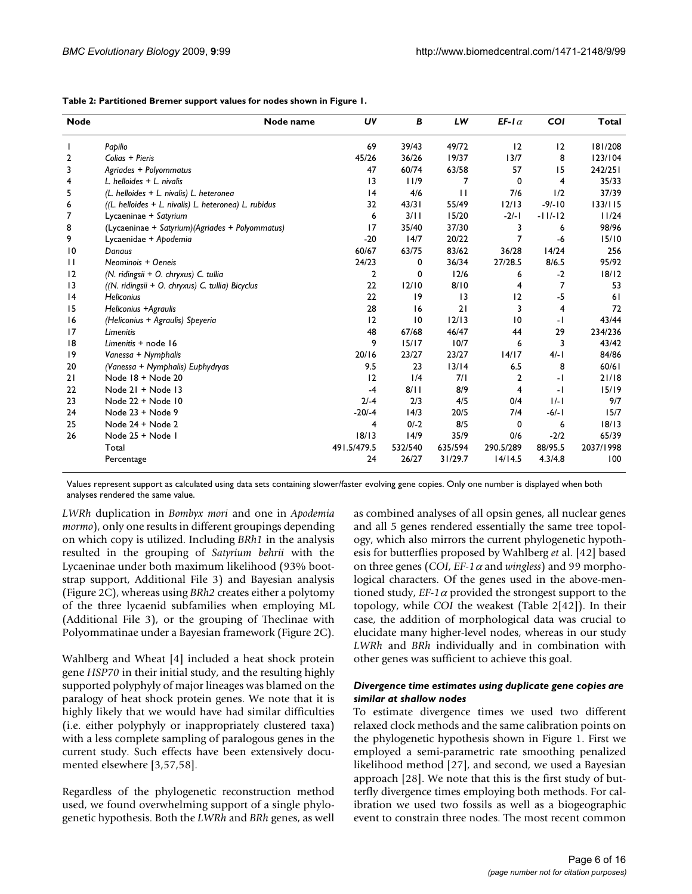<span id="page-5-0"></span>

| <b>Node</b>     | Node name                                             | UV          | В               | LW           | EF-1 $\alpha$  | COI       | <b>Total</b> |
|-----------------|-------------------------------------------------------|-------------|-----------------|--------------|----------------|-----------|--------------|
|                 | Papilio                                               | 69          | 39/43           | 49/72        | 12             | 12        | 181/208      |
| $\overline{2}$  | Colias + Pieris                                       | 45/26       | 36/26           | 19/37        | 13/7           | 8         | 123/104      |
| 3               | Agriades + Polyommatus                                | 47          | 60/74           | 63/58        | 57             | 15        | 242/251      |
| 4               | L. helloides $+$ L. nivalis                           | 3           | 11/9            | 7            | 0              | 4         | 35/33        |
| 5               | (L. helloides + L. nivalis) L. heteronea              | 4           | 4/6             | $\mathbf{H}$ | 7/6            | 1/2       | 37/39        |
| 6               | ((L. helloides + L. nivalis) L. heteronea) L. rubidus | 32          | 43/31           | 55/49        | 12/13          | $-9/-10$  | 133/115      |
| 7               | Lycaeninae + Satyrium                                 | 6           | 3/11            | 15/20        | $-2/-1$        | $-11/-12$ | 11/24        |
| 8               | (Lycaeninae + Satyrium) (Agriades + Polyommatus)      | 17          | 35/40           | 37/30        | 3              | 6         | 98/96        |
| 9               | Lycaenidae + Apodemia                                 | $-20$       | 14/7            | 20/22        | 7              | -6        | 15/10        |
| $\overline{10}$ | Danaus                                                | 60/67       | 63/75           | 83/62        | 36/28          | 14/24     | 256          |
| $\mathbf{H}$    | Neominois + Oeneis                                    | 24/23       | 0               | 36/34        | 27/28.5        | 8/6.5     | 95/92        |
| 12              | (N. ridingsii + O. chryxus) C. tullia                 | 2           | 0               | 12/6         | 6              | $-2$      | 18/12        |
| $\overline{13}$ | ((N. ridingsii + O. chryxus) C. tullia) Bicyclus      | 22          | 12/10           | 8/10         | 4              | 7         | 53           |
| 4               | <b>Heliconius</b>                                     | 22          | 9               | 13           | 12             | $-5$      | 61           |
| 15              | Heliconius +Agraulis                                  | 28          | 16              | 21           | 3              | 4         | 72           |
| 16              | (Heliconius + Agraulis) Speyeria                      | 12          | $\overline{10}$ | 12/13        | 10             | -1        | 43/44        |
| 17              | Limenitis                                             | 48          | 67/68           | 46/47        | 44             | 29        | 234/236      |
| 18              | Limenitis + node 16                                   | 9           | 15/17           | 10/7         | 6              | 3         | 43/42        |
| 9               | Vanessa + Nymphalis                                   | 20/16       | 23/27           | 23/27        | 14/17          | $4/-1$    | 84/86        |
| 20              | (Vanessa + Nymphalis) Euphydryas                      | 9.5         | 23              | $13/14$      | 6.5            | 8         | 60/61        |
| 21              | Node 18 + Node 20                                     | 12          | 1/4             | 7/1          | 2              | -1        | 21/18        |
| 22              | Node 21 + Node 13                                     | $-4$        | 8/11            | 8/9          | $\overline{4}$ | - 1       | 15/19        |
| 23              | Node 22 + Node 10                                     | $2/-4$      | 2/3             | 4/5          | 0/4            | $ /- $    | 9/7          |
| 24              | Node 23 + Node 9                                      | $-20/-4$    | 14/3            | 20/5         | 7/4            | $-6/-1$   | 15/7         |
| 25              | Node 24 + Node 2                                      | 4           | $0/-2$          | 8/5          | 0              | 6         | 18/13        |
| 26              | Node 25 + Node I                                      | 18/13       | 14/9            | 35/9         | 0/6            | $-2/2$    | 65/39        |
|                 | Total                                                 | 491.5/479.5 | 532/540         | 635/594      | 290.5/289      | 88/95.5   | 2037/1998    |
|                 | Percentage                                            | 24          | 26/27           | 31/29.7      | 14/14.5        | 4.3/4.8   | 100          |

Values represent support as calculated using data sets containing slower/faster evolving gene copies. Only one number is displayed when both analyses rendered the same value.

*LWRh* duplication in *Bombyx mori* and one in *Apodemia mormo*), only one results in different groupings depending on which copy is utilized. Including *BRh1* in the analysis resulted in the grouping of *Satyrium behrii* with the Lycaeninae under both maximum likelihood (93% bootstrap support, Additional File 3) and Bayesian analysis (Figure 2C), whereas using *BRh2* creates either a polytomy of the three lycaenid subfamilies when employing ML (Additional File 3), or the grouping of Theclinae with Polyommatinae under a Bayesian framework (Figure 2C).

Wahlberg and Wheat [4] included a heat shock protein gene *HSP70* in their initial study, and the resulting highly supported polyphyly of major lineages was blamed on the paralogy of heat shock protein genes. We note that it is highly likely that we would have had similar difficulties (i.e. either polyphyly or inappropriately clustered taxa) with a less complete sampling of paralogous genes in the current study. Such effects have been extensively documented elsewhere [3,57,58].

Regardless of the phylogenetic reconstruction method used, we found overwhelming support of a single phylogenetic hypothesis. Both the *LWRh* and *BRh* genes, as well

as combined analyses of all opsin genes, all nuclear genes and all 5 genes rendered essentially the same tree topology, which also mirrors the current phylogenetic hypothesis for butterflies proposed by Wahlberg *et* al. [42] based on three genes (*COI*, *EF-1* $\alpha$  and *wingless*) and 99 morphological characters. Of the genes used in the above-mentioned study,  $EF-1\alpha$  provided the strongest support to the topology, while *COI* the weakest (Table [2](#page-5-0)[42]). In their case, the addition of morphological data was crucial to elucidate many higher-level nodes, whereas in our study *LWRh* and *BRh* individually and in combination with other genes was sufficient to achieve this goal.

#### *Divergence time estimates using duplicate gene copies are similar at shallow nodes*

To estimate divergence times we used two different relaxed clock methods and the same calibration points on the phylogenetic hypothesis shown in Figure 1. First we employed a semi-parametric rate smoothing penalized likelihood method [27], and second, we used a Bayesian approach [28]. We note that this is the first study of butterfly divergence times employing both methods. For calibration we used two fossils as well as a biogeographic event to constrain three nodes. The most recent common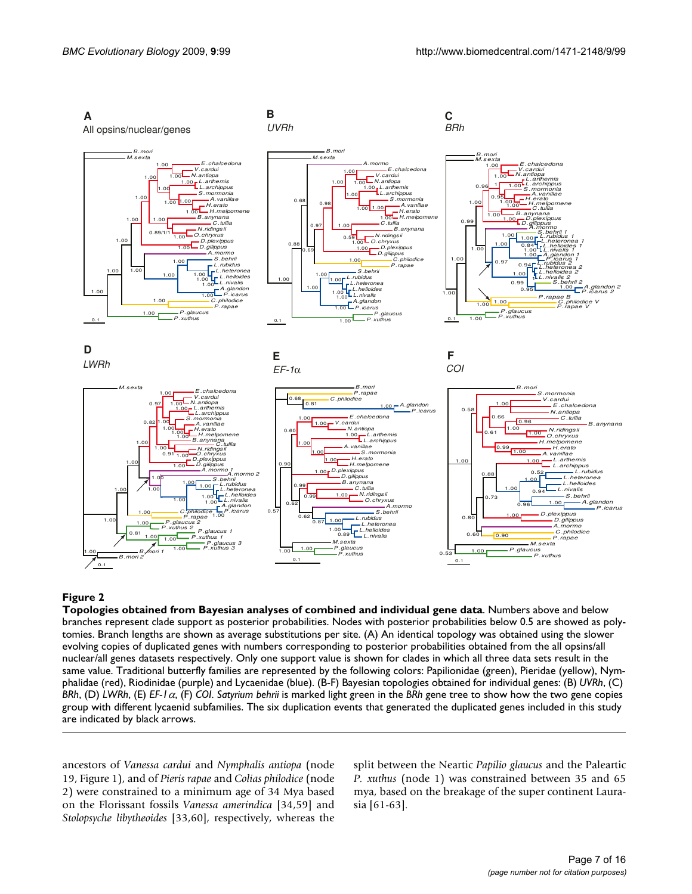

#### Figure 2

**Topologies obtained from Bayesian analyses of combined and individual gene data**. Numbers above and below branches represent clade support as posterior probabilities. Nodes with posterior probabilities below 0.5 are showed as polytomies. Branch lengths are shown as average substitutions per site. (A) An identical topology was obtained using the slower evolving copies of duplicated genes with numbers corresponding to posterior probabilities obtained from the all opsins/all nuclear/all genes datasets respectively. Only one support value is shown for clades in which all three data sets result in the same value. Traditional butterfly families are represented by the following colors: Papilionidae (green), Pieridae (yellow), Nymphalidae (red), Riodinidae (purple) and Lycaenidae (blue). (B-F) Bayesian topologies obtained for individual genes: (B) *UVRh*, (C) *BRh*, (D) *LWRh*, (E) *EF-1*, (F) *COI*. *Satyrium behrii* is marked light green in the *BRh* gene tree to show how the two gene copies group with different lycaenid subfamilies. The six duplication events that generated the duplicated genes included in this study are indicated by black arrows.

ancestors of *Vanessa cardui* and *Nymphalis antiopa* (node 19, Figure 1), and of *Pieris rapae* and *Colias philodice* (node 2) were constrained to a minimum age of 34 Mya based on the Florissant fossils *Vanessa amerindica* [34,59] and *Stolopsyche libytheoides* [33,60], respectively, whereas the

split between the Neartic *Papilio glaucus* and the Paleartic *P. xuthus* (node 1) was constrained between 35 and 65 mya, based on the breakage of the super continent Laurasia [61-63].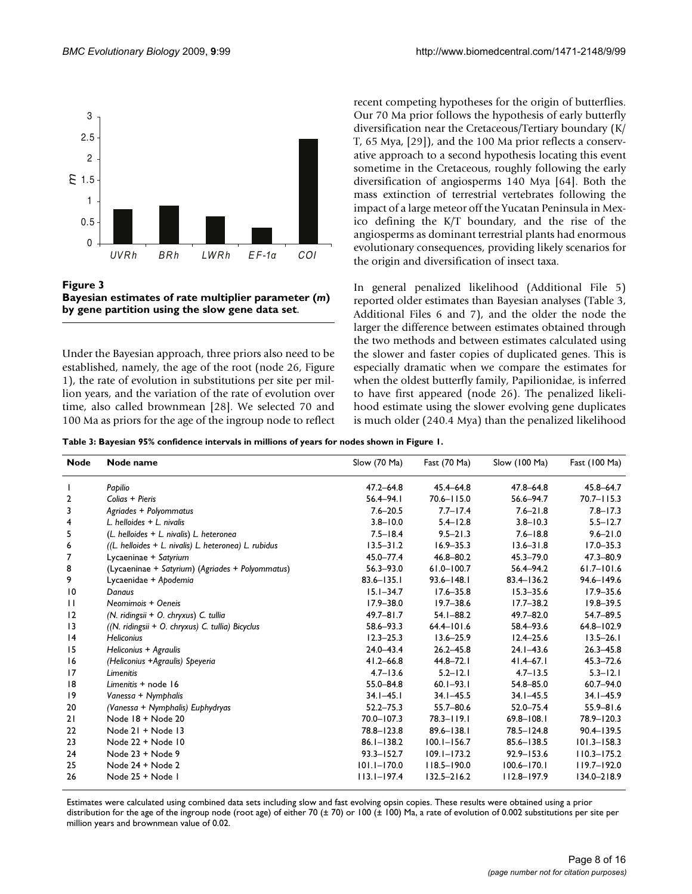

**Figure 3 Bayesian estimates of rate multiplier parameter (***m***) by gene partition using the slow gene data set**.

Under the Bayesian approach, three priors also need to be established, namely, the age of the root (node 26, Figure 1), the rate of evolution in substitutions per site per million years, and the variation of the rate of evolution over time, also called brownmean [28]. We selected 70 and 100 Ma as priors for the age of the ingroup node to reflect recent competing hypotheses for the origin of butterflies. Our 70 Ma prior follows the hypothesis of early butterfly diversification near the Cretaceous/Tertiary boundary (K/ T, 65 Mya, [29]), and the 100 Ma prior reflects a conservative approach to a second hypothesis locating this event sometime in the Cretaceous, roughly following the early diversification of angiosperms 140 Mya [64]. Both the mass extinction of terrestrial vertebrates following the impact of a large meteor off the Yucatan Peninsula in Mexico defining the K/T boundary, and the rise of the angiosperms as dominant terrestrial plants had enormous evolutionary consequences, providing likely scenarios for the origin and diversification of insect taxa.

In general penalized likelihood (Additional File 5) reported older estimates than Bayesian analyses (Table [3,](#page-7-0) Additional Files 6 and 7), and the older the node the larger the difference between estimates obtained through the two methods and between estimates calculated using the slower and faster copies of duplicated genes. This is especially dramatic when we compare the estimates for when the oldest butterfly family, Papilionidae, is inferred to have first appeared (node 26). The penalized likelihood estimate using the slower evolving gene duplicates is much older (240.4 Mya) than the penalized likelihood

<span id="page-7-0"></span>**Table 3: Bayesian 95% confidence intervals in millions of years for nodes shown in Figure 1.**

| <b>Node</b>     | Node name                                             | Slow (70 Ma)    | Fast (70 Ma)    | Slow (100 Ma)   | Fast (100 Ma)   |
|-----------------|-------------------------------------------------------|-----------------|-----------------|-----------------|-----------------|
|                 | Papilio                                               | $47.2 - 64.8$   | $45.4 - 64.8$   | $47.8 - 64.8$   | 45.8-64.7       |
| 2               | Colias + Pieris                                       | $56.4 - 94.1$   | $70.6 - 115.0$  | 56.6-94.7       | $70.7 - 115.3$  |
| 3               | Agriades + Polyommatus                                | $7.6 - 20.5$    | $7.7 - 17.4$    | $7.6 - 21.8$    | $7.8 - 17.3$    |
| 4               | L. helloides $+$ L. nivalis                           | $3.8 - 10.0$    | $5.4 - 12.8$    | $3.8 - 10.3$    | $5.5 - 12.7$    |
| 5               | (L. helloides + L. nivalis) L. heteronea              | $7.5 - 18.4$    | $9.5 - 21.3$    | $7.6 - 18.8$    | $9.6 - 21.0$    |
| 6               | ((L. helloides + L. nivalis) L. heteronea) L. rubidus | $13.5 - 31.2$   | $16.9 - 35.3$   | $13.6 - 31.8$   | $17.0 - 35.3$   |
| 7               | Lycaeninae + Satyrium                                 | 45.0-77.4       | 46.8-80.2       | $45.3 - 79.0$   | 47.3-80.9       |
| 8               | (Lycaeninae + Satyrium) (Agriades + Polyommatus)      | $56.3 - 93.0$   | $61.0 - 100.7$  | $56.4 - 94.2$   | $61.7 - 101.6$  |
| 9               | Lycaenidae + Apodemia                                 | $83.6 - 135.1$  | $93.6 - 148.1$  | $83.4 - 136.2$  | 94.6-149.6      |
| $\overline{10}$ | Danaus                                                | $15.1 - 34.7$   | $17.6 - 35.8$   | $15.3 - 35.6$   | $17.9 - 35.6$   |
| П               | Neomimois + Oeneis                                    | $17.9 - 38.0$   | $19.7 - 38.6$   | $17.7 - 38.2$   | $19.8 - 39.5$   |
| 12              | (N. ridingsii + O. chryxus) C. tullia                 | $49.7 - 81.7$   | $54.1 - 88.2$   | $49.7 - 82.0$   | $54.7 - 89.5$   |
| 13              | ((N. ridingsii + O. chryxus) C. tullia) Bicyclus      | 58.6-93.3       | $64.4 - 101.6$  | 58.4 - 93.6     | $64.8 - 102.9$  |
| 4               | <b>Heliconius</b>                                     | $12.3 - 25.3$   | $13.6 - 25.9$   | $12.4 - 25.6$   | $13.5 - 26.1$   |
| 15              | Heliconius + Agraulis                                 | $24.0 - 43.4$   | $26.2 - 45.8$   | $24.1 - 43.6$   | $26.3 - 45.8$   |
| 16              | (Heliconius +Agraulis) Speyeria                       | $41.2 - 66.8$   | $44.8 - 72.1$   | $41.4 - 67.1$   | $45.3 - 72.6$   |
| 17              | Limenitis                                             | $4.7 - 13.6$    | $5.2 - 12.1$    | $4.7 - 13.5$    | $5.3 - 12.1$    |
| 18              | Limenitis + node 16                                   | 55.0-84.8       | $60.1 - 93.1$   | 54.8-85.0       | $60.7 - 94.0$   |
| 19              | Vanessa + Nymphalis                                   | $34.1 - 45.1$   | $34.1 - 45.5$   | $34.1 - 45.5$   | $34.1 - 45.9$   |
| 20              | (Vanessa + Nymphalis) Euphydryas                      | $52.2 - 75.3$   | $55.7 - 80.6$   | $52.0 - 75.4$   | $55.9 - 81.6$   |
| 21              | Node 18 + Node 20                                     | 70.0-107.3      | $78.3 - 119.1$  | $69.8 - 108.1$  | 78.9-120.3      |
| 22              | Node 21 + Node 13                                     | 78.8-123.8      | $89.6 - 138.1$  | 78.5-124.8      | $90.4 - 139.5$  |
| 23              | Node 22 + Node 10                                     | $86.1 - 138.2$  | $100.1 - 156.7$ | $85.6 - 138.5$  | $101.3 - 158.3$ |
| 24              | Node 23 + Node 9                                      | $93.3 - 152.7$  | $109.1 - 173.2$ | $92.9 - 153.6$  | $110.3 - 175.2$ |
| 25              | Node 24 + Node 2                                      | $101.1 - 170.0$ | $118.5 - 190.0$ | $100.6 - 170.1$ | $119.7 - 192.0$ |
| 26              | Node 25 + Node I                                      | $113.1 - 197.4$ | $132.5 - 216.2$ | $112.8 - 197.9$ | 134.0-218.9     |

Estimates were calculated using combined data sets including slow and fast evolving opsin copies. These results were obtained using a prior distribution for the age of the ingroup node (root age) of either 70 (± 70) or 100 (± 100) Ma, a rate of evolution of 0.002 substitutions per site per million years and brownmean value of 0.02.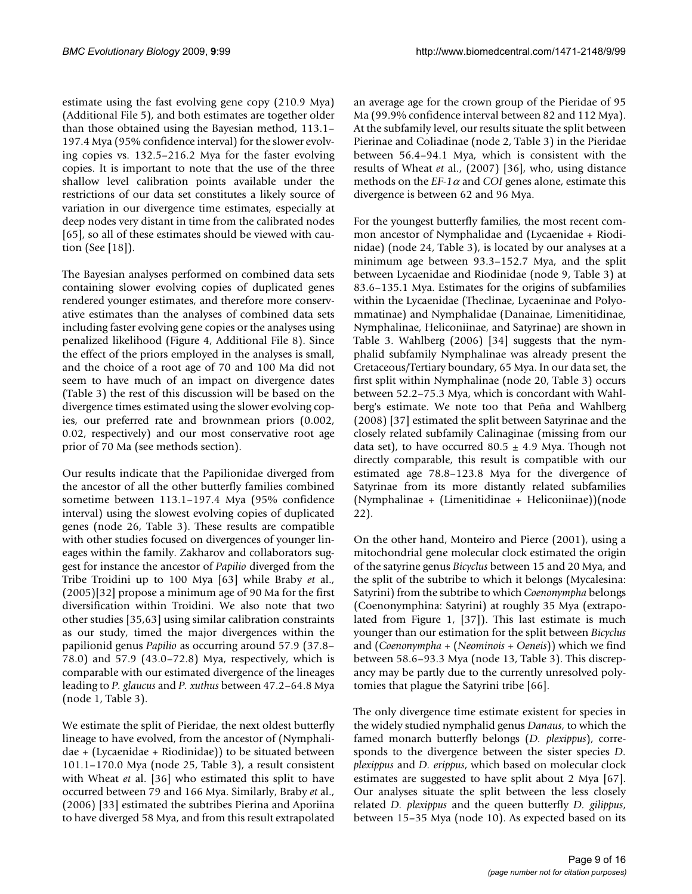estimate using the fast evolving gene copy (210.9 Mya) (Additional File 5), and both estimates are together older than those obtained using the Bayesian method, 113.1– 197.4 Mya (95% confidence interval) for the slower evolving copies vs. 132.5–216.2 Mya for the faster evolving copies. It is important to note that the use of the three shallow level calibration points available under the restrictions of our data set constitutes a likely source of variation in our divergence time estimates, especially at deep nodes very distant in time from the calibrated nodes [65], so all of these estimates should be viewed with caution (See [18]).

The Bayesian analyses performed on combined data sets containing slower evolving copies of duplicated genes rendered younger estimates, and therefore more conservative estimates than the analyses of combined data sets including faster evolving gene copies or the analyses using penalized likelihood (Figure 4, Additional File 8). Since the effect of the priors employed in the analyses is small, and the choice of a root age of 70 and 100 Ma did not seem to have much of an impact on divergence dates (Table [3](#page-7-0)) the rest of this discussion will be based on the divergence times estimated using the slower evolving copies, our preferred rate and brownmean priors (0.002, 0.02, respectively) and our most conservative root age prior of 70 Ma (see methods section).

Our results indicate that the Papilionidae diverged from the ancestor of all the other butterfly families combined sometime between 113.1–197.4 Mya (95% confidence interval) using the slowest evolving copies of duplicated genes (node 26, Table [3](#page-7-0)). These results are compatible with other studies focused on divergences of younger lineages within the family. Zakharov and collaborators suggest for instance the ancestor of *Papilio* diverged from the Tribe Troidini up to 100 Mya [63] while Braby *et* al., (2005)[32] propose a minimum age of 90 Ma for the first diversification within Troidini. We also note that two other studies [35,63] using similar calibration constraints as our study, timed the major divergences within the papilionid genus *Papilio* as occurring around 57.9 (37.8– 78.0) and 57.9 (43.0–72.8) Mya, respectively, which is comparable with our estimated divergence of the lineages leading to *P. glaucus* and *P. xuthus* between 47.2–64.8 Mya (node 1, Table [3](#page-7-0)).

We estimate the split of Pieridae, the next oldest butterfly lineage to have evolved, from the ancestor of (Nymphalidae + (Lycaenidae + Riodinidae)) to be situated between 101.1–170.0 Mya (node 25, Table [3\)](#page-7-0), a result consistent with Wheat *et* al. [36] who estimated this split to have occurred between 79 and 166 Mya. Similarly, Braby *et* al., (2006) [33] estimated the subtribes Pierina and Aporiina to have diverged 58 Mya, and from this result extrapolated

an average age for the crown group of the Pieridae of 95 Ma (99.9% confidence interval between 82 and 112 Mya). At the subfamily level, our results situate the split between Pierinae and Coliadinae (node 2, Table [3](#page-7-0)) in the Pieridae between 56.4–94.1 Mya, which is consistent with the results of Wheat *et* al., (2007) [36], who, using distance methods on the  $EF-1\alpha$  and *COI* genes alone, estimate this divergence is between 62 and 96 Mya.

For the youngest butterfly families, the most recent common ancestor of Nymphalidae and (Lycaenidae + Riodinidae) (node 24, Table [3\)](#page-7-0), is located by our analyses at a minimum age between 93.3–152.7 Mya, and the split between Lycaenidae and Riodinidae (node 9, Table [3](#page-7-0)) at 83.6–135.1 Mya. Estimates for the origins of subfamilies within the Lycaenidae (Theclinae, Lycaeninae and Polyommatinae) and Nymphalidae (Danainae, Limenitidinae, Nymphalinae, Heliconiinae, and Satyrinae) are shown in Table [3.](#page-7-0) Wahlberg (2006) [34] suggests that the nymphalid subfamily Nymphalinae was already present the Cretaceous/Tertiary boundary, 65 Mya. In our data set, the first split within Nymphalinae (node 20, Table [3](#page-7-0)) occurs between 52.2–75.3 Mya, which is concordant with Wahlberg's estimate. We note too that Peña and Wahlberg (2008) [37] estimated the split between Satyrinae and the closely related subfamily Calinaginae (missing from our data set), to have occurred  $80.5 \pm 4.9$  Mya. Though not directly comparable, this result is compatible with our estimated age 78.8–123.8 Mya for the divergence of Satyrinae from its more distantly related subfamilies (Nymphalinae + (Limenitidinae + Heliconiinae))(node 22).

On the other hand, Monteiro and Pierce (2001), using a mitochondrial gene molecular clock estimated the origin of the satyrine genus *Bicyclus* between 15 and 20 Mya, and the split of the subtribe to which it belongs (Mycalesina: Satyrini) from the subtribe to which *Coenonympha* belongs (Coenonymphina: Satyrini) at roughly 35 Mya (extrapolated from Figure 1, [37]). This last estimate is much younger than our estimation for the split between *Bicyclus* and (*Coenonympha +* (*Neominois + Oeneis*)) which we find between 58.6–93.3 Mya (node 13, Table [3\)](#page-7-0). This discrepancy may be partly due to the currently unresolved polytomies that plague the Satyrini tribe [66].

The only divergence time estimate existent for species in the widely studied nymphalid genus *Danaus*, to which the famed monarch butterfly belongs (*D. plexippus*), corresponds to the divergence between the sister species *D. plexippus* and *D. erippus*, which based on molecular clock estimates are suggested to have split about 2 Mya [67]. Our analyses situate the split between the less closely related *D. plexippus* and the queen butterfly *D. gilippus*, between 15–35 Mya (node 10). As expected based on its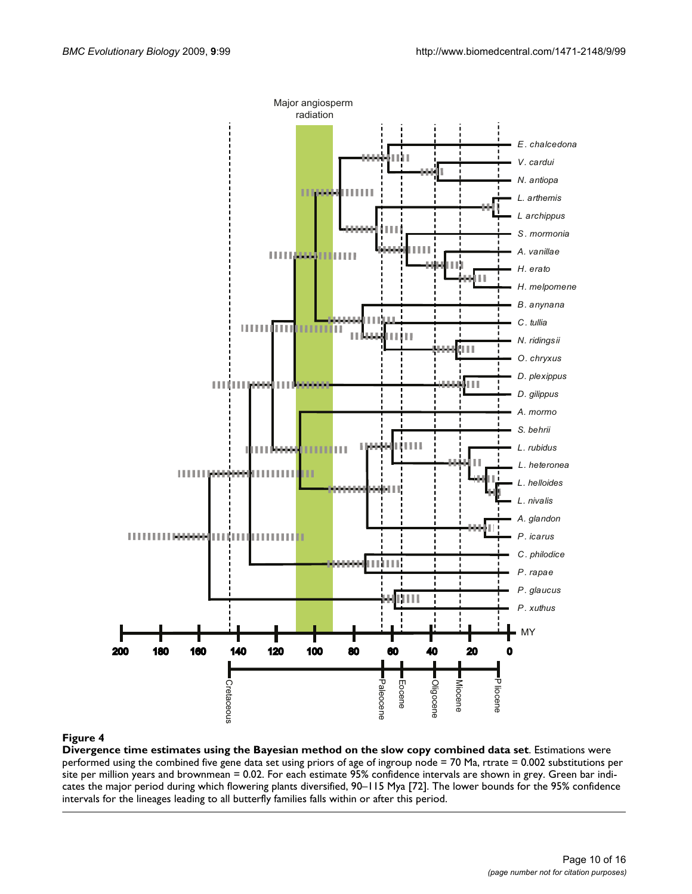

#### Divergence time estimates using the Bayesian **Figure 4** method on the slow copy combined data set

**Divergence time estimates using the Bayesian method on the slow copy combined data set**. Estimations were performed using the combined five gene data set using priors of age of ingroup node = 70 Ma, rtrate = 0.002 substitutions per site per million years and brownmean = 0.02. For each estimate 95% confidence intervals are shown in grey. Green bar indicates the major period during which flowering plants diversified, 90–115 Mya [72]. The lower bounds for the 95% confidence intervals for the lineages leading to all butterfly families falls within or after this period.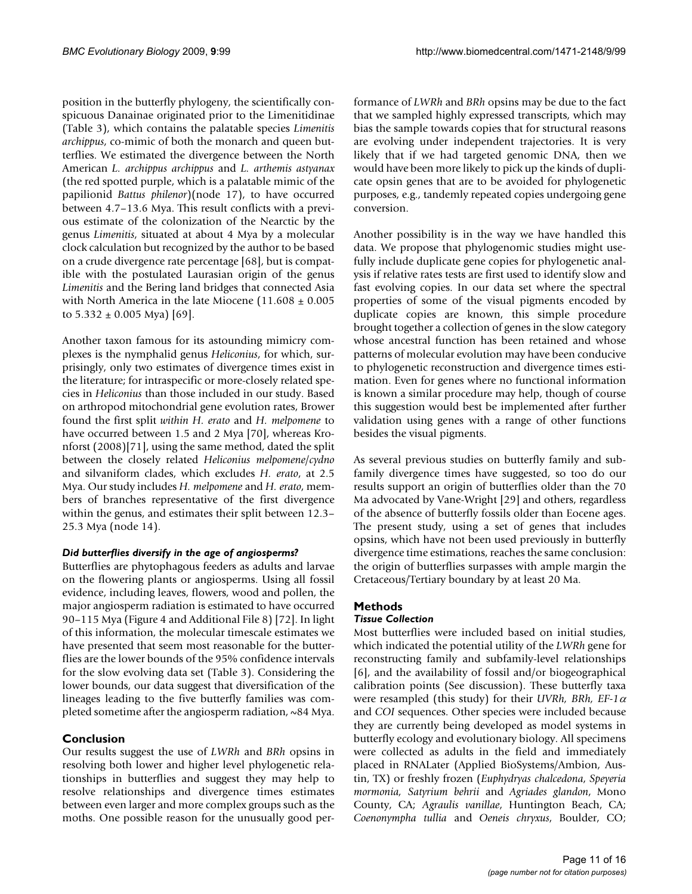position in the butterfly phylogeny, the scientifically conspicuous Danainae originated prior to the Limenitidinae (Table [3\)](#page-7-0), which contains the palatable species *Limenitis archippus*, co-mimic of both the monarch and queen butterflies. We estimated the divergence between the North American *L. archippus archippus* and *L. arthemis astyanax* (the red spotted purple, which is a palatable mimic of the papilionid *Battus philenor*)(node 17), to have occurred between 4.7–13.6 Mya. This result conflicts with a previous estimate of the colonization of the Nearctic by the genus *Limenitis*, situated at about 4 Mya by a molecular clock calculation but recognized by the author to be based on a crude divergence rate percentage [68], but is compatible with the postulated Laurasian origin of the genus *Limenitis* and the Bering land bridges that connected Asia with North America in the late Miocene (11.608 ± 0.005 to  $5.332 \pm 0.005$  Mya) [69].

Another taxon famous for its astounding mimicry complexes is the nymphalid genus *Heliconius*, for which, surprisingly, only two estimates of divergence times exist in the literature; for intraspecific or more-closely related species in *Heliconius* than those included in our study. Based on arthropod mitochondrial gene evolution rates, Brower found the first split *within H. erato* and *H. melpomene* to have occurred between 1.5 and 2 Mya [70], whereas Kronforst (2008)[71], using the same method, dated the split between the closely related *Heliconius melpomene*/*cydno* and silvaniform clades, which excludes *H. erato*, at 2.5 Mya. Our study includes *H. melpomene* and *H. erato*, members of branches representative of the first divergence within the genus, and estimates their split between 12.3– 25.3 Mya (node 14).

#### *Did butterflies diversify in the age of angiosperms?*

Butterflies are phytophagous feeders as adults and larvae on the flowering plants or angiosperms. Using all fossil evidence, including leaves, flowers, wood and pollen, the major angiosperm radiation is estimated to have occurred 90–115 Mya (Figure 4 and Additional File 8) [72]. In light of this information, the molecular timescale estimates we have presented that seem most reasonable for the butterflies are the lower bounds of the 95% confidence intervals for the slow evolving data set (Table [3\)](#page-7-0). Considering the lower bounds, our data suggest that diversification of the lineages leading to the five butterfly families was completed sometime after the angiosperm radiation, ~84 Mya.

### **Conclusion**

Our results suggest the use of *LWRh* and *BRh* opsins in resolving both lower and higher level phylogenetic relationships in butterflies and suggest they may help to resolve relationships and divergence times estimates between even larger and more complex groups such as the moths. One possible reason for the unusually good performance of *LWRh* and *BRh* opsins may be due to the fact that we sampled highly expressed transcripts, which may bias the sample towards copies that for structural reasons are evolving under independent trajectories. It is very likely that if we had targeted genomic DNA, then we would have been more likely to pick up the kinds of duplicate opsin genes that are to be avoided for phylogenetic purposes, e.g., tandemly repeated copies undergoing gene conversion.

Another possibility is in the way we have handled this data. We propose that phylogenomic studies might usefully include duplicate gene copies for phylogenetic analysis if relative rates tests are first used to identify slow and fast evolving copies. In our data set where the spectral properties of some of the visual pigments encoded by duplicate copies are known, this simple procedure brought together a collection of genes in the slow category whose ancestral function has been retained and whose patterns of molecular evolution may have been conducive to phylogenetic reconstruction and divergence times estimation. Even for genes where no functional information is known a similar procedure may help, though of course this suggestion would best be implemented after further validation using genes with a range of other functions besides the visual pigments.

As several previous studies on butterfly family and subfamily divergence times have suggested, so too do our results support an origin of butterflies older than the 70 Ma advocated by Vane-Wright [29] and others, regardless of the absence of butterfly fossils older than Eocene ages. The present study, using a set of genes that includes opsins, which have not been used previously in butterfly divergence time estimations, reaches the same conclusion: the origin of butterflies surpasses with ample margin the Cretaceous/Tertiary boundary by at least 20 Ma.

# **Methods**

### *Tissue Collection*

Most butterflies were included based on initial studies, which indicated the potential utility of the *LWRh* gene for reconstructing family and subfamily-level relationships [6], and the availability of fossil and/or biogeographical calibration points (See discussion). These butterfly taxa were resampled (this study) for their *UVRh*, *BRh*, *EF-1* $\alpha$ and *COI* sequences. Other species were included because they are currently being developed as model systems in butterfly ecology and evolutionary biology. All specimens were collected as adults in the field and immediately placed in RNALater (Applied BioSystems/Ambion, Austin, TX) or freshly frozen (*Euphydryas chalcedona*, *Speyeria mormonia, Satyrium behrii* and *Agriades glandon*, Mono County, CA; *Agraulis vanillae*, Huntington Beach, CA; *Coenonympha tullia* and *Oeneis chryxus*, Boulder, CO;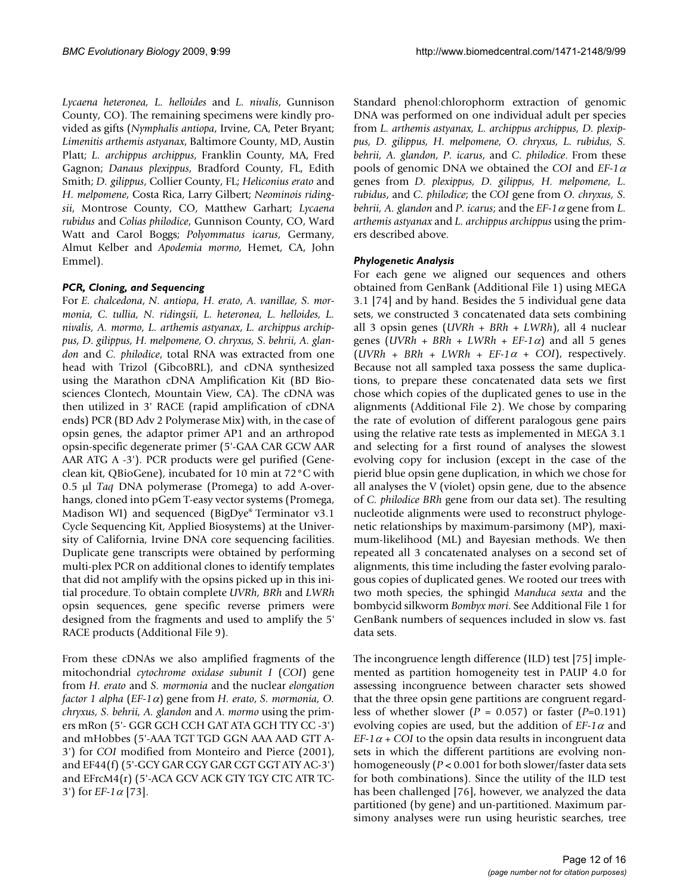*Lycaena heteronea, L. helloides* and *L. nivalis*, Gunnison County, CO). The remaining specimens were kindly provided as gifts (*Nymphalis antiopa*, Irvine, CA, Peter Bryant; *Limenitis arthemis astyanax*, Baltimore County, MD, Austin Platt; *L. archippus archippus*, Franklin County, MA, Fred Gagnon; *Danaus plexippus*, Bradford County, FL, Edith Smith; *D. gilippus*, Collier County, FL; *Heliconius erato* and *H. melpomene*, Costa Rica, Larry Gilbert; *Neominois ridingsii*, Montrose County, CO, Matthew Garhart; *Lycaena rubidus* and *Colias philodice*, Gunnison County, CO, Ward Watt and Carol Boggs; *Polyommatus icarus*, Germany, Almut Kelber and *Apodemia mormo*, Hemet, CA, John Emmel).

#### *PCR, Cloning, and Sequencing*

For *E. chalcedona*, *N. antiopa, H. erato, A. vanillae, S. mormonia, C. tullia, N. ridingsii, L. heteronea, L. helloides, L. nivalis, A. mormo, L. arthemis astyanax*, *L. archippus archippus, D. gilippus, H. melpomene, O. chryxus, S. behrii, A. glandon* and *C. philodice*, total RNA was extracted from one head with Trizol (GibcoBRL), and cDNA synthesized using the Marathon cDNA Amplification Kit (BD Biosciences Clontech, Mountain View, CA). The cDNA was then utilized in 3' RACE (rapid amplification of cDNA ends) PCR (BD Adv 2 Polymerase Mix) with, in the case of opsin genes, the adaptor primer AP1 and an arthropod opsin-specific degenerate primer (5'-GAA CAR GCW AAR AAR ATG A -3'). PCR products were gel purified (Geneclean kit, QBioGene), incubated for 10 min at 72°C with 0.5 µ *Taq DNA polymerase (Promega)* to add A-overhangs, cloned into pGem T-easy vector systems (Promega, Madison WI) and sequenced (BigDye® Terminator v3.1 Cycle Sequencing Kit, Applied Biosystems) at the University of California, Irvine DNA core sequencing facilities. Duplicate gene transcripts were obtained by performing multi-plex PCR on additional clones to identify templates that did not amplify with the opsins picked up in this initial procedure. To obtain complete *UVRh, BRh* and *LWRh* opsin sequences, gene specific reverse primers were designed from the fragments and used to amplify the 5' RACE products (Additional File 9).

From these cDNAs we also amplified fragments of the mitochondrial *cytochrome oxidase subunit I* (*COI*) gene from *H. erato* and *S. mormonia* and the nuclear *elongation factor 1 alpha* (*EF-1* $\alpha$ ) gene from *H. erato, S. mormonia, O. chryxus, S. behrii, A. glandon* and *A. mormo* using the primers mRon (5'- GGR GCH CCH GAT ATA GCH TTY CC -3') and mHobbes (5'-AAA TGT TGD GGN AAA AAD GTT A-3') for *COI* modified from Monteiro and Pierce (2001), and EF44(f) (5'-GCY GAR CGY GAR CGT GGT ATY AC-3') and EFrcM4(r) (5'-ACA GCV ACK GTY TGY CTC ATR TC-3') for *EF-1* $\alpha$  [73].

Standard phenol:chlorophorm extraction of genomic DNA was performed on one individual adult per species from *L. arthemis astyanax, L. archippus archippus, D. plexippus, D. gilippus, H. melpomene, O. chryxus, L. rubidus, S. behrii, A. glandon, P. icarus*, and *C. philodice*. From these pools of genomic DNA we obtained the *COI* and  $EF-1\alpha$ genes from *D. plexippus, D. gilippus, H. melpomene, L. rubidus*, and *C. philodice*; the *COI* gene from *O. chryxus, S. behrii, A. glandon* and *P. icarus;* and the  $EF-1\alpha$  gene from *L. arthemis astyanax* and *L. archippus archippus* using the primers described above.

#### *Phylogenetic Analysis*

For each gene we aligned our sequences and others obtained from GenBank (Additional File 1) using MEGA 3.1 [74] and by hand. Besides the 5 individual gene data sets, we constructed 3 concatenated data sets combining all 3 opsin genes (*UVRh + BRh + LWRh*), all 4 nuclear genes (*UVRh* + *BRh* + *LWRh* + *EF-1* $\alpha$ ) and all 5 genes  $(UVRh + BRh + LWRh + EF-1\alpha + COI$ , respectively. Because not all sampled taxa possess the same duplications, to prepare these concatenated data sets we first chose which copies of the duplicated genes to use in the alignments (Additional File 2). We chose by comparing the rate of evolution of different paralogous gene pairs using the relative rate tests as implemented in MEGA 3.1 and selecting for a first round of analyses the slowest evolving copy for inclusion (except in the case of the pierid blue opsin gene duplication, in which we chose for all analyses the V (violet) opsin gene, due to the absence of *C. philodice BRh* gene from our data set). The resulting nucleotide alignments were used to reconstruct phylogenetic relationships by maximum-parsimony (MP), maximum-likelihood (ML) and Bayesian methods. We then repeated all 3 concatenated analyses on a second set of alignments, this time including the faster evolving paralogous copies of duplicated genes. We rooted our trees with two moth species, the sphingid *Manduca sexta* and the bombycid silkworm *Bombyx mori*. See Additional File 1 for GenBank numbers of sequences included in slow vs. fast data sets.

The incongruence length difference (ILD) test [75] implemented as partition homogeneity test in PAUP 4.0 for assessing incongruence between character sets showed that the three opsin gene partitions are congruent regardless of whether slower (*P* = 0.057) or faster (*P=*0.191) evolving copies are used, but the addition of  $EF-1\alpha$  and *EF-1* $\alpha$  + *COI* to the opsin data results in incongruent data sets in which the different partitions are evolving nonhomogeneously (*P* < 0.001 for both slower/faster data sets for both combinations). Since the utility of the ILD test has been challenged [76], however, we analyzed the data partitioned (by gene) and un-partitioned. Maximum parsimony analyses were run using heuristic searches, tree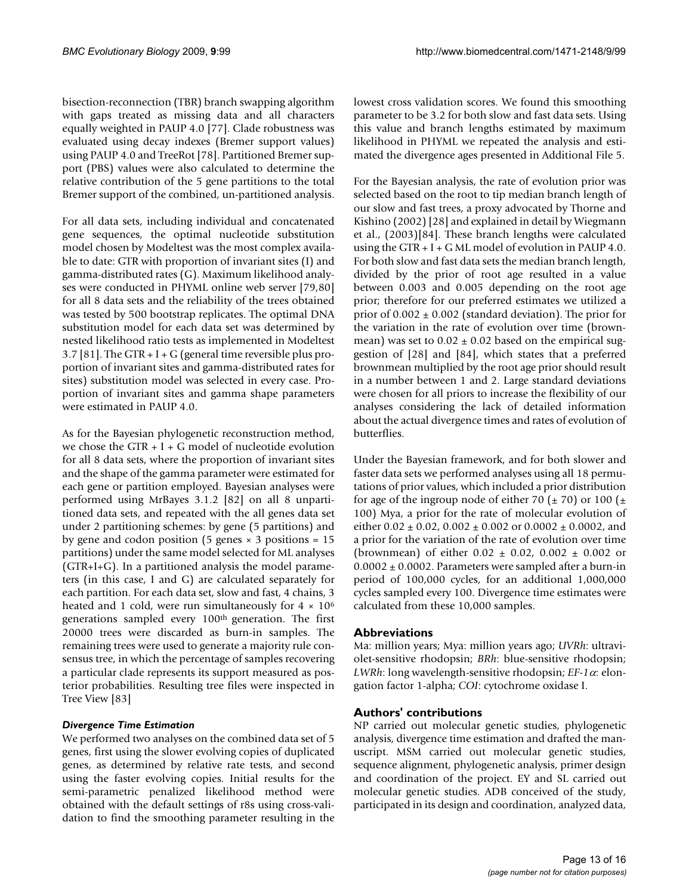bisection-reconnection (TBR) branch swapping algorithm with gaps treated as missing data and all characters equally weighted in PAUP 4.0 [77]. Clade robustness was evaluated using decay indexes (Bremer support values) using PAUP 4.0 and TreeRot [78]. Partitioned Bremer support (PBS) values were also calculated to determine the relative contribution of the 5 gene partitions to the total Bremer support of the combined, un-partitioned analysis.

For all data sets, including individual and concatenated gene sequences, the optimal nucleotide substitution model chosen by Modeltest was the most complex available to date: GTR with proportion of invariant sites (I) and gamma-distributed rates (G). Maximum likelihood analyses were conducted in PHYML online web server [79,80] for all 8 data sets and the reliability of the trees obtained was tested by 500 bootstrap replicates. The optimal DNA substitution model for each data set was determined by nested likelihood ratio tests as implemented in Modeltest 3.7 [81]. The GTR + I + G (general time reversible plus proportion of invariant sites and gamma-distributed rates for sites) substitution model was selected in every case. Proportion of invariant sites and gamma shape parameters were estimated in PAUP 4.0.

As for the Bayesian phylogenetic reconstruction method, we chose the GTR + I + G model of nucleotide evolution for all 8 data sets, where the proportion of invariant sites and the shape of the gamma parameter were estimated for each gene or partition employed. Bayesian analyses were performed using MrBayes 3.1.2 [82] on all 8 unpartitioned data sets, and repeated with the all genes data set under 2 partitioning schemes: by gene (5 partitions) and by gene and codon position (5 genes  $\times$  3 positions = 15 partitions) under the same model selected for ML analyses (GTR+I+G). In a partitioned analysis the model parameters (in this case, I and G) are calculated separately for each partition. For each data set, slow and fast, 4 chains, 3 heated and 1 cold, were run simultaneously for  $4 \times 10^6$ generations sampled every 100th generation. The first 20000 trees were discarded as burn-in samples. The remaining trees were used to generate a majority rule consensus tree, in which the percentage of samples recovering a particular clade represents its support measured as posterior probabilities. Resulting tree files were inspected in Tree View [83]

### *Divergence Time Estimation*

We performed two analyses on the combined data set of 5 genes, first using the slower evolving copies of duplicated genes, as determined by relative rate tests, and second using the faster evolving copies. Initial results for the semi-parametric penalized likelihood method were obtained with the default settings of r8s using cross-validation to find the smoothing parameter resulting in the lowest cross validation scores. We found this smoothing parameter to be 3.2 for both slow and fast data sets. Using this value and branch lengths estimated by maximum likelihood in PHYML we repeated the analysis and estimated the divergence ages presented in Additional File 5.

For the Bayesian analysis, the rate of evolution prior was selected based on the root to tip median branch length of our slow and fast trees, a proxy advocated by Thorne and Kishino (2002) [28] and explained in detail by Wiegmann et al., (2003)[84]. These branch lengths were calculated using the GTR  $+$  I  $+$  G ML model of evolution in PAUP 4.0. For both slow and fast data sets the median branch length, divided by the prior of root age resulted in a value between 0.003 and 0.005 depending on the root age prior; therefore for our preferred estimates we utilized a prior of  $0.002 \pm 0.002$  (standard deviation). The prior for the variation in the rate of evolution over time (brownmean) was set to  $0.02 \pm 0.02$  based on the empirical suggestion of [28] and [84], which states that a preferred brownmean multiplied by the root age prior should result in a number between 1 and 2. Large standard deviations were chosen for all priors to increase the flexibility of our analyses considering the lack of detailed information about the actual divergence times and rates of evolution of butterflies.

Under the Bayesian framework, and for both slower and faster data sets we performed analyses using all 18 permutations of prior values, which included a prior distribution for age of the ingroup node of either 70 ( $\pm$  70) or 100 ( $\pm$ 100) Mya, a prior for the rate of molecular evolution of either  $0.02 \pm 0.02$ ,  $0.002 \pm 0.002$  or  $0.0002 \pm 0.0002$ , and a prior for the variation of the rate of evolution over time (brownmean) of either  $0.02 \pm 0.02$ ,  $0.002 \pm 0.002$  or 0.0002 ± 0.0002. Parameters were sampled after a burn-in period of 100,000 cycles, for an additional 1,000,000 cycles sampled every 100. Divergence time estimates were calculated from these 10,000 samples.

### **Abbreviations**

Ma: million years; Mya: million years ago; *UVRh*: ultraviolet-sensitive rhodopsin; *BRh*: blue-sensitive rhodopsin; *LWRh*: long wavelength-sensitive rhodopsin;  $EF-1\alpha$ : elongation factor 1-alpha; *COI*: cytochrome oxidase I.

# **Authors' contributions**

NP carried out molecular genetic studies, phylogenetic analysis, divergence time estimation and drafted the manuscript. MSM carried out molecular genetic studies, sequence alignment, phylogenetic analysis, primer design and coordination of the project. EY and SL carried out molecular genetic studies. ADB conceived of the study, participated in its design and coordination, analyzed data,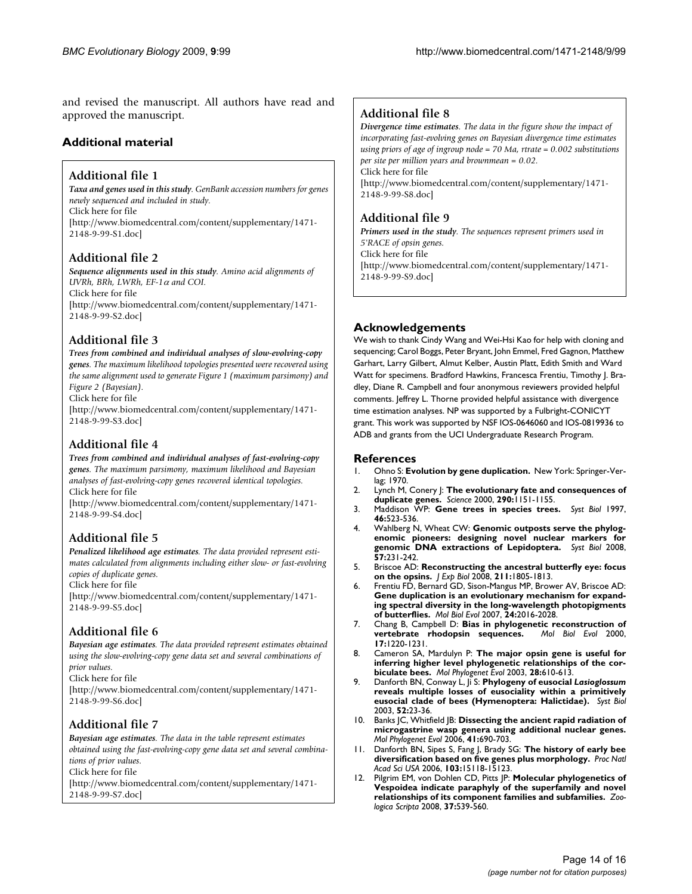and revised the manuscript. All authors have read and approved the manuscript.

# **Additional material**

# **Additional file 1**

*Taxa and genes used in this study. GenBank accession numbers for genes newly sequenced and included in study.* Click here for file [\[http://www.biomedcentral.com/content/supplementary/1471-](http://www.biomedcentral.com/content/supplementary/1471-2148-9-99-S1.doc) 2148-9-99-S1.doc]

# **Additional file 2**

*Sequence alignments used in this study. Amino acid alignments of UVRh, BRh, LWRh, EF-1 and COI.* Click here for file [\[http://www.biomedcentral.com/content/supplementary/1471-](http://www.biomedcentral.com/content/supplementary/1471-2148-9-99-S2.doc) 2148-9-99-S2.doc]

# **Additional file 3**

*Trees from combined and individual analyses of slow-evolving-copy genes. The maximum likelihood topologies presented were recovered using the same alignment used to generate Figure 1 (maximum parsimony) and Figure 2 (Bayesian).*

Click here for file

[\[http://www.biomedcentral.com/content/supplementary/1471-](http://www.biomedcentral.com/content/supplementary/1471-2148-9-99-S3.doc) 2148-9-99-S3.doc]

# **Additional file 4**

*Trees from combined and individual analyses of fast-evolving-copy genes. The maximum parsimony, maximum likelihood and Bayesian analyses of fast-evolving-copy genes recovered identical topologies.* Click here for file

[\[http://www.biomedcentral.com/content/supplementary/1471-](http://www.biomedcentral.com/content/supplementary/1471-2148-9-99-S4.doc) 2148-9-99-S4.doc]

# **Additional file 5**

*Penalized likelihood age estimates. The data provided represent estimates calculated from alignments including either slow- or fast-evolving copies of duplicate genes.*

Click here for file

[\[http://www.biomedcentral.com/content/supplementary/1471-](http://www.biomedcentral.com/content/supplementary/1471-2148-9-99-S5.doc) 2148-9-99-S5.doc]

# **Additional file 6**

*Bayesian age estimates. The data provided represent estimates obtained using the slow-evolving-copy gene data set and several combinations of prior values.*

Click here for file

[\[http://www.biomedcentral.com/content/supplementary/1471-](http://www.biomedcentral.com/content/supplementary/1471-2148-9-99-S6.doc) 2148-9-99-S6.doc]

# **Additional file 7**

*Bayesian age estimates. The data in the table represent estimates obtained using the fast-evolving-copy gene data set and several combinations of prior values.* Click here for file

[\[http://www.biomedcentral.com/content/supplementary/1471-](http://www.biomedcentral.com/content/supplementary/1471-2148-9-99-S7.doc)

2148-9-99-S7.doc]

# **Additional file 8**

*Divergence time estimates. The data in the figure show the impact of incorporating fast-evolving genes on Bayesian divergence time estimates using priors of age of ingroup node = 70 Ma, rtrate = 0.002 substitutions per site per million years and brownmean = 0.02.* Click here for file [\[http://www.biomedcentral.com/content/supplementary/1471-](http://www.biomedcentral.com/content/supplementary/1471-2148-9-99-S8.doc) 2148-9-99-S8.doc]

# **Additional file 9**

*Primers used in the study. The sequences represent primers used in 5'RACE of opsin genes.* Click here for file [\[http://www.biomedcentral.com/content/supplementary/1471-](http://www.biomedcentral.com/content/supplementary/1471-2148-9-99-S9.doc) 2148-9-99-S9.doc]

# **Acknowledgements**

We wish to thank Cindy Wang and Wei-Hsi Kao for help with cloning and sequencing; Carol Boggs, Peter Bryant, John Emmel, Fred Gagnon, Matthew Garhart, Larry Gilbert, Almut Kelber, Austin Platt, Edith Smith and Ward Watt for specimens. Bradford Hawkins, Francesca Frentiu, Timothy J. Bradley, Diane R. Campbell and four anonymous reviewers provided helpful comments. Jeffrey L. Thorne provided helpful assistance with divergence time estimation analyses. NP was supported by a Fulbright-CONICYT grant. This work was supported by NSF IOS-0646060 and IOS-0819936 to ADB and grants from the UCI Undergraduate Research Program.

### **References**

- 1. Ohno S: **Evolution by gene duplication.** New York: Springer-Verlag; 1970.
- 2. Lynch M, Conery J: **[The evolutionary fate and consequences of](http://www.ncbi.nlm.nih.gov/entrez/query.fcgi?cmd=Retrieve&db=PubMed&dopt=Abstract&list_uids=11073452) [duplicate genes.](http://www.ncbi.nlm.nih.gov/entrez/query.fcgi?cmd=Retrieve&db=PubMed&dopt=Abstract&list_uids=11073452)** *Science* 2000, **290:**1151-1155.
- 3. Maddison WP: **Gene trees in species trees.** *Syst Biol* 1997, **46:**523-536.
- 4. Wahlberg N, Wheat CW: **[Genomic outposts serve the phylog](http://www.ncbi.nlm.nih.gov/entrez/query.fcgi?cmd=Retrieve&db=PubMed&dopt=Abstract&list_uids=18398768)[enomic pioneers: designing novel nuclear markers for](http://www.ncbi.nlm.nih.gov/entrez/query.fcgi?cmd=Retrieve&db=PubMed&dopt=Abstract&list_uids=18398768) [genomic DNA extractions of Lepidoptera.](http://www.ncbi.nlm.nih.gov/entrez/query.fcgi?cmd=Retrieve&db=PubMed&dopt=Abstract&list_uids=18398768)** *Syst Biol* 2008, **57:**231-242.
- 5. Briscoe AD: **[Reconstructing the ancestral butterfly eye: focus](http://www.ncbi.nlm.nih.gov/entrez/query.fcgi?cmd=Retrieve&db=PubMed&dopt=Abstract&list_uids=18490396) [on the opsins.](http://www.ncbi.nlm.nih.gov/entrez/query.fcgi?cmd=Retrieve&db=PubMed&dopt=Abstract&list_uids=18490396)** *J Exp Biol* 2008, **211:**1805-1813.
- 6. Frentiu FD, Bernard GD, Sison-Mangus MP, Brower AV, Briscoe AD: **[Gene duplication is an evolutionary mechanism for expand](http://www.ncbi.nlm.nih.gov/entrez/query.fcgi?cmd=Retrieve&db=PubMed&dopt=Abstract&list_uids=17609538)ing spectral diversity in the long-wavelength photopigments [of butterflies.](http://www.ncbi.nlm.nih.gov/entrez/query.fcgi?cmd=Retrieve&db=PubMed&dopt=Abstract&list_uids=17609538)** *Mol Biol Evol* 2007, **24:**2016-2028.
- 7. Chang B, Campbell D: **[Bias in phylogenetic reconstruction of](http://www.ncbi.nlm.nih.gov/entrez/query.fcgi?cmd=Retrieve&db=PubMed&dopt=Abstract&list_uids=10908642)**  $v$ ertebrate rhodopsin sequences. **17:**1220-1231.
- 8. Cameron SA, Mardulyn P: **[The major opsin gene is useful for](http://www.ncbi.nlm.nih.gov/entrez/query.fcgi?cmd=Retrieve&db=PubMed&dopt=Abstract&list_uids=12927143) [inferring higher level phylogenetic relationships of the cor](http://www.ncbi.nlm.nih.gov/entrez/query.fcgi?cmd=Retrieve&db=PubMed&dopt=Abstract&list_uids=12927143)[biculate bees.](http://www.ncbi.nlm.nih.gov/entrez/query.fcgi?cmd=Retrieve&db=PubMed&dopt=Abstract&list_uids=12927143)** *Mol Phylogenet Evol* 2003, **28:**610-613.
- 9. Danforth BN, Conway L, Ji S: **Phylogeny of eusocial** *Lasioglossum* **[reveals multiple losses of eusociality within a primitively](http://www.ncbi.nlm.nih.gov/entrez/query.fcgi?cmd=Retrieve&db=PubMed&dopt=Abstract&list_uids=12554437) [eusocial clade of bees \(Hymenoptera: Halictidae\).](http://www.ncbi.nlm.nih.gov/entrez/query.fcgi?cmd=Retrieve&db=PubMed&dopt=Abstract&list_uids=12554437)** *Syst Biol* 2003, **52:**23-36.
- 10. Banks JC, Whitfield JB: **[Dissecting the ancient rapid radiation of](http://www.ncbi.nlm.nih.gov/entrez/query.fcgi?cmd=Retrieve&db=PubMed&dopt=Abstract&list_uids=16854601) [microgastrine wasp genera using additional nuclear genes.](http://www.ncbi.nlm.nih.gov/entrez/query.fcgi?cmd=Retrieve&db=PubMed&dopt=Abstract&list_uids=16854601)** *Mol Phylogenet Evol* 2006, **41:**690-703.
- 11. Danforth BN, Sipes S, Fang J, Brady SG: **[The history of early bee](http://www.ncbi.nlm.nih.gov/entrez/query.fcgi?cmd=Retrieve&db=PubMed&dopt=Abstract&list_uids=17015826) [diversification based on five genes plus morphology.](http://www.ncbi.nlm.nih.gov/entrez/query.fcgi?cmd=Retrieve&db=PubMed&dopt=Abstract&list_uids=17015826)** *Proc Natl Acad Sci USA* 2006, **103:**15118-15123.
- 12. Pilgrim EM, von Dohlen CD, Pitts JP: **Molecular phylogenetics of Vespoidea indicate paraphyly of the superfamily and novel relationships of its component families and subfamilies.** *Zoologica Scripta* 2008, **37:**539-560.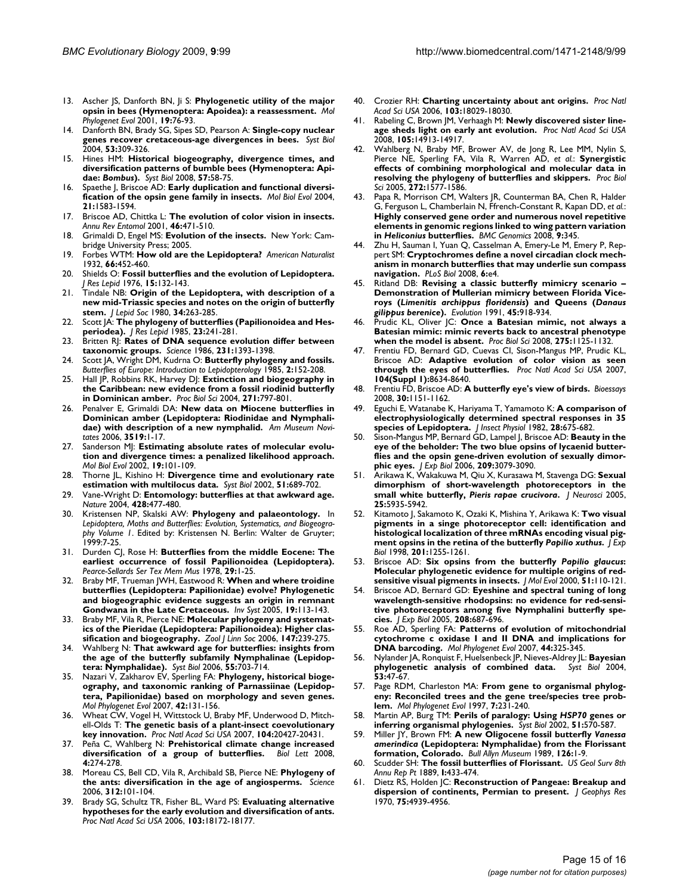- 13. Ascher JS, Danforth BN, Ji S: **[Phylogenetic utility of the major](http://www.ncbi.nlm.nih.gov/entrez/query.fcgi?cmd=Retrieve&db=PubMed&dopt=Abstract&list_uids=11286493) [opsin in bees \(Hymenoptera: Apoidea\): a reassessment.](http://www.ncbi.nlm.nih.gov/entrez/query.fcgi?cmd=Retrieve&db=PubMed&dopt=Abstract&list_uids=11286493)** *Mol Phylogenet Evol* 2001, **19:**76-93.
- 14. Danforth BN, Brady SG, Sipes SD, Pearson A: **[Single-copy nuclear](http://www.ncbi.nlm.nih.gov/entrez/query.fcgi?cmd=Retrieve&db=PubMed&dopt=Abstract&list_uids=15205055) [genes recover cretaceous-age divergences in bees.](http://www.ncbi.nlm.nih.gov/entrez/query.fcgi?cmd=Retrieve&db=PubMed&dopt=Abstract&list_uids=15205055)** *Syst Biol* 2004, **53:**309-326.
- 15. Hines HM: **Historical biogeography, divergence times, and diversification patterns of bumble bees (Hymenoptera: Apidae:** *Bombus***[\).](http://www.ncbi.nlm.nih.gov/entrez/query.fcgi?cmd=Retrieve&db=PubMed&dopt=Abstract&list_uids=18275002)** *Syst Biol* 2008, **57:**58-75.
- 16. Spaethe J, Briscoe AD: **[Early duplication and functional diversi](http://www.ncbi.nlm.nih.gov/entrez/query.fcgi?cmd=Retrieve&db=PubMed&dopt=Abstract&list_uids=15155799)[fication of the opsin gene family in insects.](http://www.ncbi.nlm.nih.gov/entrez/query.fcgi?cmd=Retrieve&db=PubMed&dopt=Abstract&list_uids=15155799)** *Mol Biol Evol* 2004, **21:**1583-1594.
- 17. Briscoe AD, Chittka L: **[The evolution of color vision in insects.](http://www.ncbi.nlm.nih.gov/entrez/query.fcgi?cmd=Retrieve&db=PubMed&dopt=Abstract&list_uids=11112177)** *Annu Rev Entomol* 2001, **46:**471-510.
- 18. Grimaldi D, Engel MS: **Evolution of the insects.** New York: Cambridge University Press; 2005.
- 19. Forbes WTM: **How old are the Lepidoptera?** *American Naturalist* 1932, **66:**452-460.
- 20. Shields O: **Fossil butterflies and the evolution of Lepidoptera.** *J Res Lepid* 1976, **15:**132-143.
- 21. Tindale NB: **Origin of the Lepidoptera, with description of a new mid-Triassic species and notes on the origin of butterfly stem.** *J Lepid Soc* 1980, **34:**263-285.
- 22. Scott JA: **The phylogeny of butterflies (Papilionoidea and Hesperiodea).** *J Res Lepid* 1985, **23:**241-281.
- 23. Britten RJ: **[Rates of DNA sequence evolution differ between](http://www.ncbi.nlm.nih.gov/entrez/query.fcgi?cmd=Retrieve&db=PubMed&dopt=Abstract&list_uids=3082006) [taxonomic groups.](http://www.ncbi.nlm.nih.gov/entrez/query.fcgi?cmd=Retrieve&db=PubMed&dopt=Abstract&list_uids=3082006)** *Science* 1986, **231:**1393-1398.
- 24. Scott JA, Wright DM, Kudrna O: **Butterfly phylogeny and fossils.** *Butterflies of Europe: Introduction to Lepidopterology* 1985, **2:**152-208.
- 25. Hall JP, Robbins RK, Harvey DJ: **[Extinction and biogeography in](http://www.ncbi.nlm.nih.gov/entrez/query.fcgi?cmd=Retrieve&db=PubMed&dopt=Abstract&list_uids=15255097) [the Caribbean: new evidence from a fossil riodinid butterfly](http://www.ncbi.nlm.nih.gov/entrez/query.fcgi?cmd=Retrieve&db=PubMed&dopt=Abstract&list_uids=15255097) [in Dominican amber.](http://www.ncbi.nlm.nih.gov/entrez/query.fcgi?cmd=Retrieve&db=PubMed&dopt=Abstract&list_uids=15255097)** *Proc Biol Sci* 2004, **271:**797-801.
- 26. Penalver E, Grimaldi DA: **New data on Miocene butterflies in Dominican amber (Lepidoptera: Riodinidae and Nymphalidae) with description of a new nymphalid.** *Am Museum Novitates* 2006, **3519:**1-17.
- 27. Sanderson MJ: **[Estimating absolute rates of molecular evolu](http://www.ncbi.nlm.nih.gov/entrez/query.fcgi?cmd=Retrieve&db=PubMed&dopt=Abstract&list_uids=11752195)[tion and divergence times: a penalized likelihood approach.](http://www.ncbi.nlm.nih.gov/entrez/query.fcgi?cmd=Retrieve&db=PubMed&dopt=Abstract&list_uids=11752195)** *Mol Biol Evol* 2002, **19:**101-109.
- 28. Thorne JL, Kishino H: **[Divergence time and evolutionary rate](http://www.ncbi.nlm.nih.gov/entrez/query.fcgi?cmd=Retrieve&db=PubMed&dopt=Abstract&list_uids=12396584) [estimation with multilocus data.](http://www.ncbi.nlm.nih.gov/entrez/query.fcgi?cmd=Retrieve&db=PubMed&dopt=Abstract&list_uids=12396584)** *Syst Biol* 2002, **51:**689-702.
- 29. Vane-Wright D: **[Entomology: butterflies at that awkward age.](http://www.ncbi.nlm.nih.gov/entrez/query.fcgi?cmd=Retrieve&db=PubMed&dopt=Abstract&list_uids=15057814)** *Nature* 2004, **428:**477-480.
- 30. Kristensen NP, Skalski AW: **Phylogeny and palaeontology.** In *Lepidoptera, Moths and Butterflies: Evolution, Systematics, and Biogeography Volume 1*. Edited by: Kristensen N. Berlin: Walter de Gruyter; 1999:7-25.
- 31. Durden CJ, Rose H: **Butterflies from the middle Eocene: The earliest occurrence of fossil Papilionoidea (Lepidoptera).** *Pearce-Sellards Ser Tex Mem Mus* 1978, **29:**1-25.
- 32. Braby MF, Trueman JWH, Eastwood R: **When and where troidine butterflies (Lepidoptera: Papilionidae) evolve? Phylogenetic and biogeographic evidence suggests an origin in remnant Gondwana in the Late Cretaceous.** *Inv Syst* 2005, **19:**113-143.
- 33. Braby MF, Vila R, Pierce NE: **Molecular phylogeny and systematics of the Pieridae (Lepidoptera: Papilionoidea): Higher classification and biogeography.** *Zool J Linn Soc* 2006, **147:**239-275.
- 34. Wahlberg N: **[That awkward age for butterflies: insights from](http://www.ncbi.nlm.nih.gov/entrez/query.fcgi?cmd=Retrieve&db=PubMed&dopt=Abstract&list_uids=16952908) [the age of the butterfly subfamily Nymphalinae \(Lepidop](http://www.ncbi.nlm.nih.gov/entrez/query.fcgi?cmd=Retrieve&db=PubMed&dopt=Abstract&list_uids=16952908)[tera: Nymphalidae\).](http://www.ncbi.nlm.nih.gov/entrez/query.fcgi?cmd=Retrieve&db=PubMed&dopt=Abstract&list_uids=16952908)** *Syst Biol* 2006, **55:**703-714.
- 35. Nazari V, Zakharov EV, Sperling FA: **[Phylogeny, historical bioge](http://www.ncbi.nlm.nih.gov/entrez/query.fcgi?cmd=Retrieve&db=PubMed&dopt=Abstract&list_uids=16919972)[ography, and taxonomic ranking of Parnassiinae \(Lepidop](http://www.ncbi.nlm.nih.gov/entrez/query.fcgi?cmd=Retrieve&db=PubMed&dopt=Abstract&list_uids=16919972)tera, Papilionidae) based on morphology and seven genes.** *Mol Phylogenet Evol* 2007, **42:**131-156.
- 36. Wheat CW, Vogel H, Wittstock U, Braby MF, Underwood D, Mitchell-Olds T: **[The genetic basis of a plant-insect coevolutionary](http://www.ncbi.nlm.nih.gov/entrez/query.fcgi?cmd=Retrieve&db=PubMed&dopt=Abstract&list_uids=18077380) [key innovation.](http://www.ncbi.nlm.nih.gov/entrez/query.fcgi?cmd=Retrieve&db=PubMed&dopt=Abstract&list_uids=18077380)** *Proc Natl Acad Sci USA* 2007, **104:**20427-20431.
- 37. Peña C, Wahlberg N: **[Prehistorical climate change increased](http://www.ncbi.nlm.nih.gov/entrez/query.fcgi?cmd=Retrieve&db=PubMed&dopt=Abstract&list_uids=18364308) [diversification of a group of butterflies.](http://www.ncbi.nlm.nih.gov/entrez/query.fcgi?cmd=Retrieve&db=PubMed&dopt=Abstract&list_uids=18364308)** *Biol Lett* 2008, **4:**274-278.
- 38. Moreau CS, Bell CD, Vila R, Archibald SB, Pierce NE: **[Phylogeny of](http://www.ncbi.nlm.nih.gov/entrez/query.fcgi?cmd=Retrieve&db=PubMed&dopt=Abstract&list_uids=16601190) [the ants: diversification in the age of angiosperms.](http://www.ncbi.nlm.nih.gov/entrez/query.fcgi?cmd=Retrieve&db=PubMed&dopt=Abstract&list_uids=16601190)** *Science* 2006, **312:**101-104.
- 39. Brady SG, Schultz TR, Fisher BL, Ward PS: **[Evaluating alternative](http://www.ncbi.nlm.nih.gov/entrez/query.fcgi?cmd=Retrieve&db=PubMed&dopt=Abstract&list_uids=17079492) [hypotheses for the early evolution and diversification of ants.](http://www.ncbi.nlm.nih.gov/entrez/query.fcgi?cmd=Retrieve&db=PubMed&dopt=Abstract&list_uids=17079492)** *Proc Natl Acad Sci USA* 2006, **103:**18172-18177.
- 40. Crozier RH: **[Charting uncertainty about ant origins.](http://www.ncbi.nlm.nih.gov/entrez/query.fcgi?cmd=Retrieve&db=PubMed&dopt=Abstract&list_uids=17116891)** *Proc Natl Acad Sci USA* 2006, **103:**18029-18030.
- 41. Rabeling C, Brown JM, Verhaagh M: **[Newly discovered sister line](http://www.ncbi.nlm.nih.gov/entrez/query.fcgi?cmd=Retrieve&db=PubMed&dopt=Abstract&list_uids=18794530)[age sheds light on early ant evolution.](http://www.ncbi.nlm.nih.gov/entrez/query.fcgi?cmd=Retrieve&db=PubMed&dopt=Abstract&list_uids=18794530)** *Proc Natl Acad Sci USA* 2008, **105:**14913-14917.
- 42. Wahlberg N, Braby MF, Brower AV, de Jong R, Lee MM, Nylin S, Pierce NE, Sperling FA, Vila R, Warren AD, *et al.*: **[Synergistic](http://www.ncbi.nlm.nih.gov/entrez/query.fcgi?cmd=Retrieve&db=PubMed&dopt=Abstract&list_uids=16048773) [effects of combining morphological and molecular data in](http://www.ncbi.nlm.nih.gov/entrez/query.fcgi?cmd=Retrieve&db=PubMed&dopt=Abstract&list_uids=16048773) [resolving the phylogeny of butterflies and skippers.](http://www.ncbi.nlm.nih.gov/entrez/query.fcgi?cmd=Retrieve&db=PubMed&dopt=Abstract&list_uids=16048773)** *Proc Biol Sci* 2005, **272:**1577-1586.
- 43. Papa R, Morrison CM, Walters JR, Counterman BA, Chen R, Halder G, Ferguson L, Chamberlain N, Ffrench-Constant R, Kapan DD, *et al.*: **Highly conserved gene order and numerous novel repetitive elements in genomic regions linked to wing pattern variation in** *Heliconius* **[butterflies.](http://www.ncbi.nlm.nih.gov/entrez/query.fcgi?cmd=Retrieve&db=PubMed&dopt=Abstract&list_uids=18647405)** *BMC Genomics* 2008, **9:**345.
- Zhu H, Sauman I, Yuan Q, Casselman A, Emery-Le M, Emery P, Reppert SM: **[Cryptochromes define a novel circadian clock mech](http://www.ncbi.nlm.nih.gov/entrez/query.fcgi?cmd=Retrieve&db=PubMed&dopt=Abstract&list_uids=18184036)[anism in monarch butterflies that may underlie sun compass](http://www.ncbi.nlm.nih.gov/entrez/query.fcgi?cmd=Retrieve&db=PubMed&dopt=Abstract&list_uids=18184036) [navigation.](http://www.ncbi.nlm.nih.gov/entrez/query.fcgi?cmd=Retrieve&db=PubMed&dopt=Abstract&list_uids=18184036)** *PLoS Biol* 2008, **6:**e4.
- 45. Ritland DB: **Revising a classic butterfly mimicry scenario – Demonstration of Mullerian mimicry between Florida Viceroys (***Limenitis archippus floridensis***) and Queens (***Danaus gilippus berenice***).** *Evolution* 1991, **45:**918-934.
- 46. Prudic KL, Oliver JC: **[Once a Batesian mimic, not always a](http://www.ncbi.nlm.nih.gov/entrez/query.fcgi?cmd=Retrieve&db=PubMed&dopt=Abstract&list_uids=18285285) [Batesian mimic: mimic reverts back to ancestral phenotype](http://www.ncbi.nlm.nih.gov/entrez/query.fcgi?cmd=Retrieve&db=PubMed&dopt=Abstract&list_uids=18285285) [when the model is absent.](http://www.ncbi.nlm.nih.gov/entrez/query.fcgi?cmd=Retrieve&db=PubMed&dopt=Abstract&list_uids=18285285)** *Proc Biol Sci* 2008, **275:**1125-1132.
- 47. Frentiu FD, Bernard GD, Cuevas CI, Sison-Mangus MP, Prudic KL, Briscoe AD: **[Adaptive evolution of color vision as seen](http://www.ncbi.nlm.nih.gov/entrez/query.fcgi?cmd=Retrieve&db=PubMed&dopt=Abstract&list_uids=17494749) [through the eyes of butterflies.](http://www.ncbi.nlm.nih.gov/entrez/query.fcgi?cmd=Retrieve&db=PubMed&dopt=Abstract&list_uids=17494749)** *Proc Natl Acad Sci USA* 2007, **104(Suppl 1):**8634-8640.
- 48. Frentiu FD, Briscoe AD: **[A butterfly eye's view of birds.](http://www.ncbi.nlm.nih.gov/entrez/query.fcgi?cmd=Retrieve&db=PubMed&dopt=Abstract&list_uids=18937365)** *Bioessays* 2008, **30:**1151-1162.
- 49. Eguchi E, Watanabe K, Hariyama T, Yamamoto K: **A comparison of electrophysiologically determined spectral responses in 35 species of Lepidoptera.** *J Insect Physiol* 1982, **28:**675-682.
- 50. Sison-Mangus MP, Bernard GD, Lampel J, Briscoe AD: **[Beauty in the](http://www.ncbi.nlm.nih.gov/entrez/query.fcgi?cmd=Retrieve&db=PubMed&dopt=Abstract&list_uids=16888057) [eye of the beholder: The two blue opsins of lycaenid butter](http://www.ncbi.nlm.nih.gov/entrez/query.fcgi?cmd=Retrieve&db=PubMed&dopt=Abstract&list_uids=16888057)flies and the opsin gene-driven evolution of sexually dimor[phic eyes.](http://www.ncbi.nlm.nih.gov/entrez/query.fcgi?cmd=Retrieve&db=PubMed&dopt=Abstract&list_uids=16888057)** *J Exp Biol* 2006, **209:**3079-3090.
- 51. Arikawa K, Wakakuwa M, Qiu X, Kurasawa M, Stavenga DG: **Sexual dimorphism of short-wavelength photoreceptors in the small white butterfly,** *Pieris rapae crucivora***[.](http://www.ncbi.nlm.nih.gov/entrez/query.fcgi?cmd=Retrieve&db=PubMed&dopt=Abstract&list_uids=15976082)** *J Neurosci* 2005, **25:**5935-5942.
- 52. Kitamoto J, Sakamoto K, Ozaki K, Mishina Y, Arikawa K: **Two visual pigments in a singe photoreceptor cell: identification and histological localization of three mRNAs encoding visual pigment opsins in the retina of the butterfly** *Papilio xuthus***[.](http://www.ncbi.nlm.nih.gov/entrez/query.fcgi?cmd=Retrieve&db=PubMed&dopt=Abstract&list_uids=9547302)** *J Exp Biol* 1998, **201:**1255-1261.
- <span id="page-14-0"></span>53. Briscoe AD: **Six opsins from the butterfly** *Papilio glaucus***[:](http://www.ncbi.nlm.nih.gov/entrez/query.fcgi?cmd=Retrieve&db=PubMed&dopt=Abstract&list_uids=10948267) [Molecular phylogenetic evidence for multiple origins of red](http://www.ncbi.nlm.nih.gov/entrez/query.fcgi?cmd=Retrieve&db=PubMed&dopt=Abstract&list_uids=10948267)[sensitive visual pigments in insects.](http://www.ncbi.nlm.nih.gov/entrez/query.fcgi?cmd=Retrieve&db=PubMed&dopt=Abstract&list_uids=10948267)** *J Mol Evol* 2000, **51:**110-121.
- 54. Briscoe AD, Bernard GD: **[Eyeshine and spectral tuning of long](http://www.ncbi.nlm.nih.gov/entrez/query.fcgi?cmd=Retrieve&db=PubMed&dopt=Abstract&list_uids=15695761) [wavelength-sensitive rhodopsins: no evidence for red-sensi](http://www.ncbi.nlm.nih.gov/entrez/query.fcgi?cmd=Retrieve&db=PubMed&dopt=Abstract&list_uids=15695761)tive photoreceptors among five Nymphalini butterfly spe[cies.](http://www.ncbi.nlm.nih.gov/entrez/query.fcgi?cmd=Retrieve&db=PubMed&dopt=Abstract&list_uids=15695761)** *J Exp Biol* 2005, **208:**687-696.
- 55. Roe AD, Sperling FA: **[Patterns of evolution of mitochondrial](http://www.ncbi.nlm.nih.gov/entrez/query.fcgi?cmd=Retrieve&db=PubMed&dopt=Abstract&list_uids=17270468) [cytochrome c oxidase I and II DNA and implications for](http://www.ncbi.nlm.nih.gov/entrez/query.fcgi?cmd=Retrieve&db=PubMed&dopt=Abstract&list_uids=17270468) [DNA barcoding.](http://www.ncbi.nlm.nih.gov/entrez/query.fcgi?cmd=Retrieve&db=PubMed&dopt=Abstract&list_uids=17270468)** *Mol Phylogenet Evol* 2007, **44:**325-345.
- 56. Nylander JA, Ronquist F, Huelsenbeck JP, Nieves-Aldrey JL: **[Bayesian](http://www.ncbi.nlm.nih.gov/entrez/query.fcgi?cmd=Retrieve&db=PubMed&dopt=Abstract&list_uids=14965900) [phylogenetic analysis of combined data.](http://www.ncbi.nlm.nih.gov/entrez/query.fcgi?cmd=Retrieve&db=PubMed&dopt=Abstract&list_uids=14965900)** *Syst Biol* 2004, **53:**47-67.
- 57. Page RDM, Charleston MA: **[From gene to organismal phylog](http://www.ncbi.nlm.nih.gov/entrez/query.fcgi?cmd=Retrieve&db=PubMed&dopt=Abstract&list_uids=9126565)[eny: Reconciled trees and the gene tree/species tree prob](http://www.ncbi.nlm.nih.gov/entrez/query.fcgi?cmd=Retrieve&db=PubMed&dopt=Abstract&list_uids=9126565)[lem.](http://www.ncbi.nlm.nih.gov/entrez/query.fcgi?cmd=Retrieve&db=PubMed&dopt=Abstract&list_uids=9126565)** *Mol Phylogenet Evol* 1997, **7:**231-240.
- 58. Martin AP, Burg TM: **Perils of paralogy: Using** *HSP70* **[genes or](http://www.ncbi.nlm.nih.gov/entrez/query.fcgi?cmd=Retrieve&db=PubMed&dopt=Abstract&list_uids=12228000) [inferring organismal phylogenies.](http://www.ncbi.nlm.nih.gov/entrez/query.fcgi?cmd=Retrieve&db=PubMed&dopt=Abstract&list_uids=12228000)** *Syst Biol* 2002, **51:**570-587.
- 59. Miller JY, Brown FM: **A new Oligocene fossil butterfly** *Vanessa amerindica* **(Lepidoptera: Nymphalidae) from the Florissant formation, Colorado.** *Bull Allyn Museum* 1989, **126:**1-9.
- 60. Scudder SH: **The fossil butterflies of Florissant.** *US Geol Surv 8th Annu Rep Pt* 1889, **I:**433-474.
- 61. Dietz RS, Holden JC: **Reconstruction of Pangeae: Breakup and dispersion of continents, Permian to present.** *J Geophys Res* 1970, **75:**4939-4956.